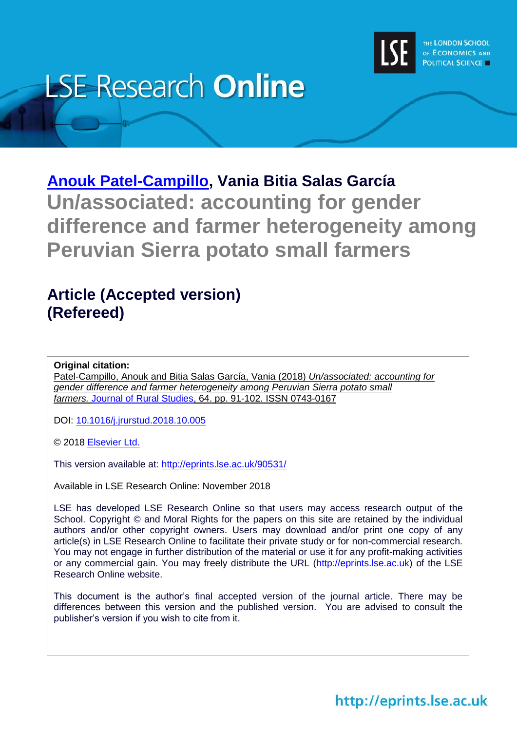

# **LSE Research Online**

**[Anouk Patel-Campillo,](http://www.lse.ac.uk/gender/people/people-profiles/faculty/anouk-patel-campillo?from_serp=1) Vania Bitia Salas García Un/associated: accounting for gender difference and farmer heterogeneity among Peruvian Sierra potato small farmers**

# **Article (Accepted version) (Refereed)**

**Original citation:**

Patel-Campillo, Anouk and Bitia Salas García, Vania (2018) *Un/associated: accounting for gender difference and farmer heterogeneity among Peruvian Sierra potato small farmers.* [Journal of Rural Studies,](https://www.journals.elsevier.com/journal-of-rural-studies) 64. pp. 91-102. ISSN 0743-0167

DOI: [10.1016/j.jrurstud.2018.10.005](http://doi.org/10.1016/j.jrurstud.2018.10.005)

© 2018 [Elsevier Ltd.](https://www.elsevier.com/)

This version available at:<http://eprints.lse.ac.uk/90531/>

Available in LSE Research Online: November 2018

LSE has developed LSE Research Online so that users may access research output of the School. Copyright © and Moral Rights for the papers on this site are retained by the individual authors and/or other copyright owners. Users may download and/or print one copy of any article(s) in LSE Research Online to facilitate their private study or for non-commercial research. You may not engage in further distribution of the material or use it for any profit-making activities or any commercial gain. You may freely distribute the URL (http://eprints.lse.ac.uk) of the LSE Research Online website.

This document is the author's final accepted version of the journal article. There may be differences between this version and the published version. You are advised to consult the publisher's version if you wish to cite from it.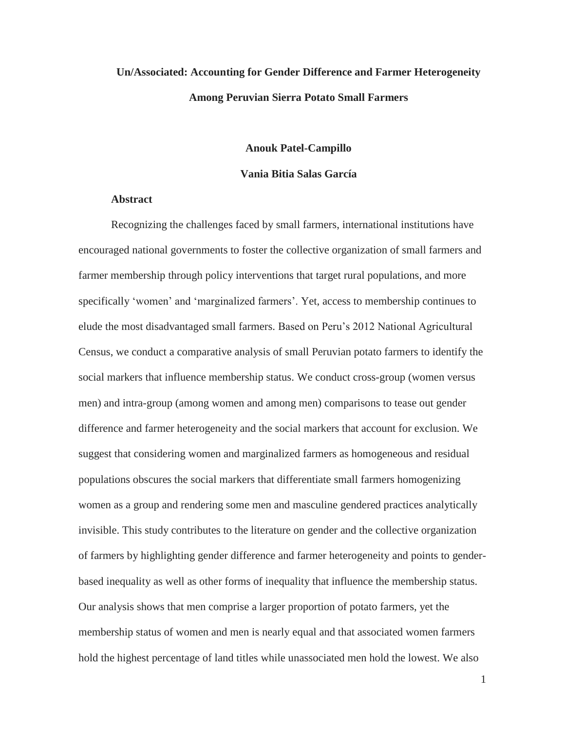# **Un/Associated: Accounting for Gender Difference and Farmer Heterogeneity Among Peruvian Sierra Potato Small Farmers**

# **Anouk Patel-Campillo**

## **Vania Bitia Salas García**

# **Abstract**

Recognizing the challenges faced by small farmers, international institutions have encouraged national governments to foster the collective organization of small farmers and farmer membership through policy interventions that target rural populations, and more specifically 'women' and 'marginalized farmers'. Yet, access to membership continues to elude the most disadvantaged small farmers. Based on Peru's 2012 National Agricultural Census, we conduct a comparative analysis of small Peruvian potato farmers to identify the social markers that influence membership status. We conduct cross-group (women versus men) and intra-group (among women and among men) comparisons to tease out gender difference and farmer heterogeneity and the social markers that account for exclusion. We suggest that considering women and marginalized farmers as homogeneous and residual populations obscures the social markers that differentiate small farmers homogenizing women as a group and rendering some men and masculine gendered practices analytically invisible. This study contributes to the literature on gender and the collective organization of farmers by highlighting gender difference and farmer heterogeneity and points to genderbased inequality as well as other forms of inequality that influence the membership status. Our analysis shows that men comprise a larger proportion of potato farmers, yet the membership status of women and men is nearly equal and that associated women farmers hold the highest percentage of land titles while unassociated men hold the lowest. We also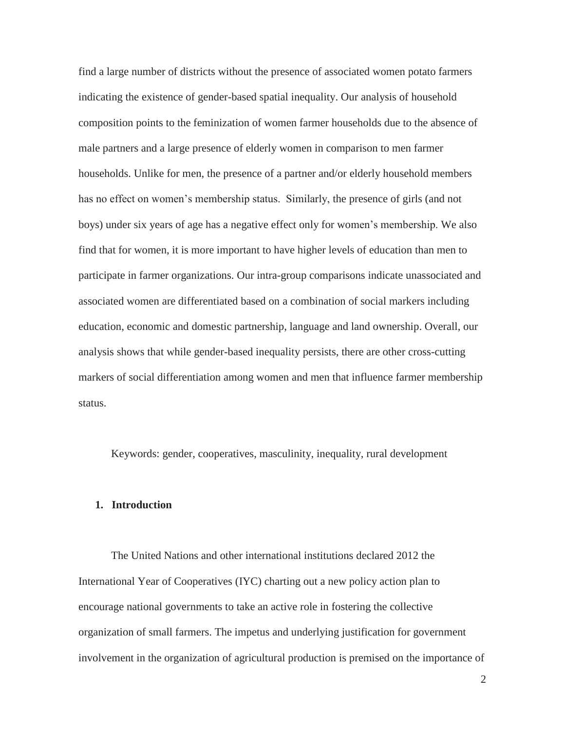find a large number of districts without the presence of associated women potato farmers indicating the existence of gender-based spatial inequality. Our analysis of household composition points to the feminization of women farmer households due to the absence of male partners and a large presence of elderly women in comparison to men farmer households. Unlike for men, the presence of a partner and/or elderly household members has no effect on women's membership status. Similarly, the presence of girls (and not boys) under six years of age has a negative effect only for women's membership. We also find that for women, it is more important to have higher levels of education than men to participate in farmer organizations. Our intra-group comparisons indicate unassociated and associated women are differentiated based on a combination of social markers including education, economic and domestic partnership, language and land ownership. Overall, our analysis shows that while gender-based inequality persists, there are other cross-cutting markers of social differentiation among women and men that influence farmer membership status.

Keywords: gender, cooperatives, masculinity, inequality, rural development

# **1. Introduction**

The United Nations and other international institutions declared 2012 the International Year of Cooperatives (IYC) charting out a new policy action plan to encourage national governments to take an active role in fostering the collective organization of small farmers. The impetus and underlying justification for government involvement in the organization of agricultural production is premised on the importance of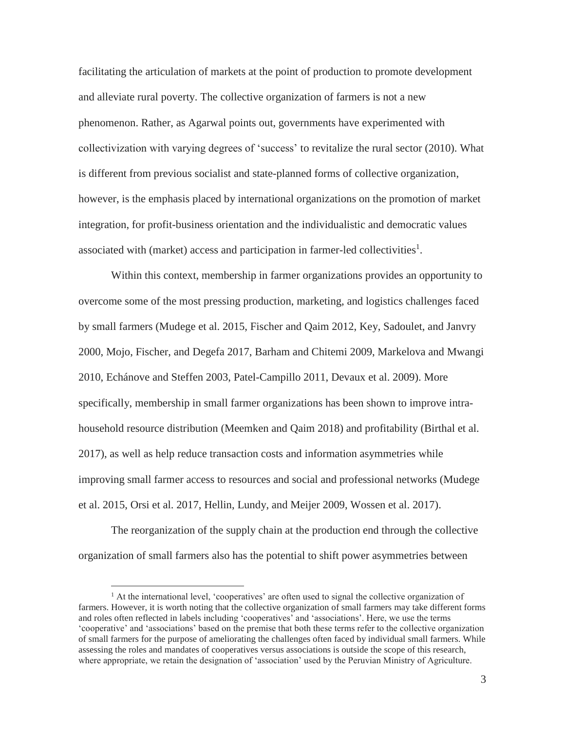facilitating the articulation of markets at the point of production to promote development and alleviate rural poverty. The collective organization of farmers is not a new phenomenon. Rather, as Agarwal points out, governments have experimented with collectivization with varying degrees of 'success' to revitalize the rural sector (2010). What is different from previous socialist and state-planned forms of collective organization, however, is the emphasis placed by international organizations on the promotion of market integration, for profit-business orientation and the individualistic and democratic values associated with (market) access and participation in farmer-led collectivities<sup>1</sup>.

Within this context, membership in farmer organizations provides an opportunity to overcome some of the most pressing production, marketing, and logistics challenges faced by small farmers (Mudege et al. 2015, Fischer and Qaim 2012, Key, Sadoulet, and Janvry 2000, Mojo, Fischer, and Degefa 2017, Barham and Chitemi 2009, Markelova and Mwangi 2010, Echánove and Steffen 2003, Patel-Campillo 2011, Devaux et al. 2009). More specifically, membership in small farmer organizations has been shown to improve intrahousehold resource distribution (Meemken and Qaim 2018) and profitability (Birthal et al. 2017), as well as help reduce transaction costs and information asymmetries while improving small farmer access to resources and social and professional networks (Mudege et al. 2015, Orsi et al. 2017, Hellin, Lundy, and Meijer 2009, Wossen et al. 2017).

The reorganization of the supply chain at the production end through the collective organization of small farmers also has the potential to shift power asymmetries between

 $\overline{a}$ 

 $<sup>1</sup>$  At the international level, 'cooperatives' are often used to signal the collective organization of</sup> farmers. However, it is worth noting that the collective organization of small farmers may take different forms and roles often reflected in labels including 'cooperatives' and 'associations'. Here, we use the terms 'cooperative' and 'associations' based on the premise that both these terms refer to the collective organization of small farmers for the purpose of ameliorating the challenges often faced by individual small farmers. While assessing the roles and mandates of cooperatives versus associations is outside the scope of this research, where appropriate, we retain the designation of 'association' used by the Peruvian Ministry of Agriculture.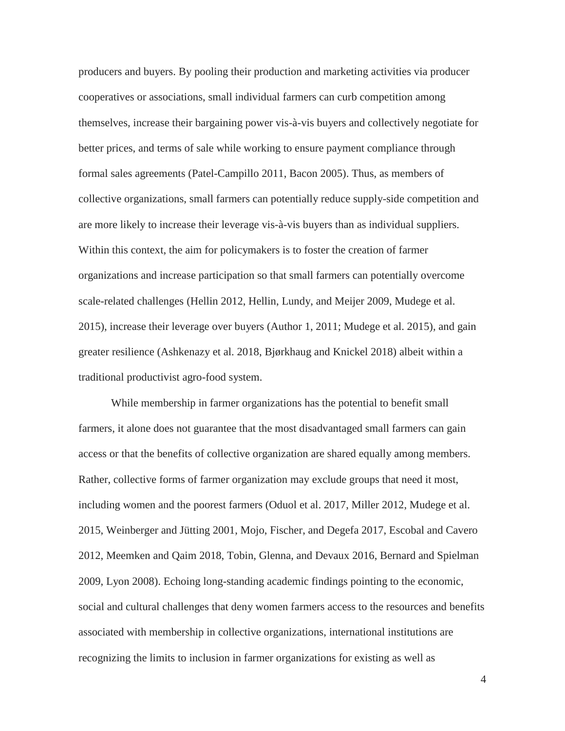producers and buyers. By pooling their production and marketing activities via producer cooperatives or associations, small individual farmers can curb competition among themselves, increase their bargaining power vis-à-vis buyers and collectively negotiate for better prices, and terms of sale while working to ensure payment compliance through formal sales agreements (Patel-Campillo 2011, Bacon 2005). Thus, as members of collective organizations, small farmers can potentially reduce supply-side competition and are more likely to increase their leverage vis-à-vis buyers than as individual suppliers. Within this context, the aim for policymakers is to foster the creation of farmer organizations and increase participation so that small farmers can potentially overcome scale-related challenges (Hellin 2012, Hellin, Lundy, and Meijer 2009, Mudege et al. 2015), increase their leverage over buyers (Author 1, 2011; Mudege et al. 2015), and gain greater resilience (Ashkenazy et al. 2018, Bjørkhaug and Knickel 2018) albeit within a traditional productivist agro-food system.

While membership in farmer organizations has the potential to benefit small farmers, it alone does not guarantee that the most disadvantaged small farmers can gain access or that the benefits of collective organization are shared equally among members. Rather, collective forms of farmer organization may exclude groups that need it most, including women and the poorest farmers (Oduol et al. 2017, Miller 2012, Mudege et al. 2015, Weinberger and Jütting 2001, Mojo, Fischer, and Degefa 2017, Escobal and Cavero 2012, Meemken and Qaim 2018, Tobin, Glenna, and Devaux 2016, Bernard and Spielman 2009, Lyon 2008). Echoing long-standing academic findings pointing to the economic, social and cultural challenges that deny women farmers access to the resources and benefits associated with membership in collective organizations, international institutions are recognizing the limits to inclusion in farmer organizations for existing as well as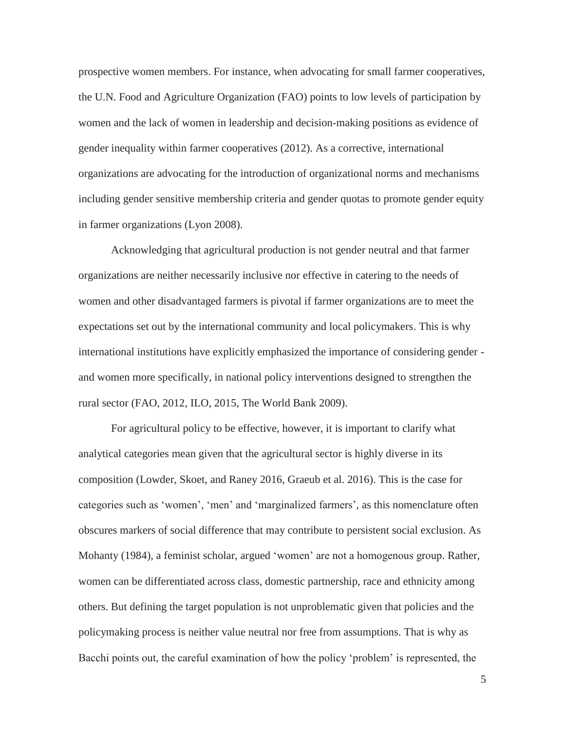prospective women members. For instance, when advocating for small farmer cooperatives, the U.N. Food and Agriculture Organization (FAO) points to low levels of participation by women and the lack of women in leadership and decision-making positions as evidence of gender inequality within farmer cooperatives (2012). As a corrective, international organizations are advocating for the introduction of organizational norms and mechanisms including gender sensitive membership criteria and gender quotas to promote gender equity in farmer organizations (Lyon 2008).

Acknowledging that agricultural production is not gender neutral and that farmer organizations are neither necessarily inclusive nor effective in catering to the needs of women and other disadvantaged farmers is pivotal if farmer organizations are to meet the expectations set out by the international community and local policymakers. This is why international institutions have explicitly emphasized the importance of considering gender and women more specifically, in national policy interventions designed to strengthen the rural sector (FAO, 2012, ILO, 2015, The World Bank 2009).

For agricultural policy to be effective, however, it is important to clarify what analytical categories mean given that the agricultural sector is highly diverse in its composition (Lowder, Skoet, and Raney 2016, Graeub et al. 2016). This is the case for categories such as 'women', 'men' and 'marginalized farmers', as this nomenclature often obscures markers of social difference that may contribute to persistent social exclusion. As Mohanty (1984), a feminist scholar, argued 'women' are not a homogenous group. Rather, women can be differentiated across class, domestic partnership, race and ethnicity among others. But defining the target population is not unproblematic given that policies and the policymaking process is neither value neutral nor free from assumptions. That is why as Bacchi points out, the careful examination of how the policy 'problem' is represented, the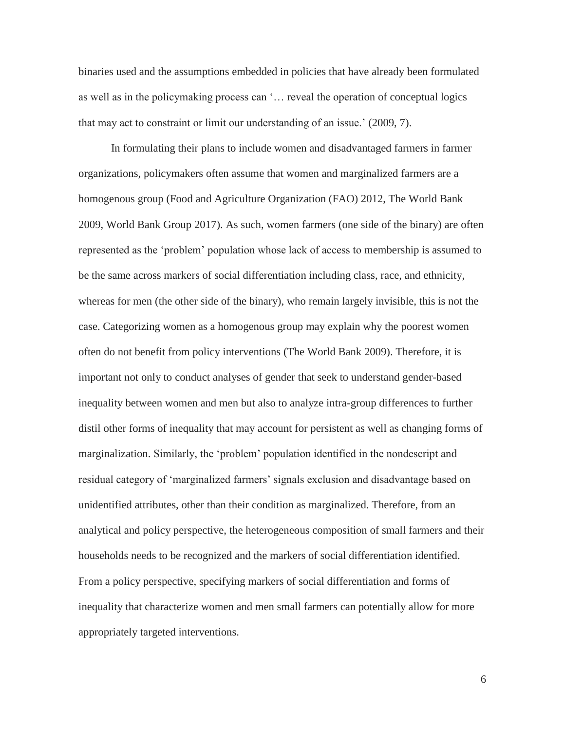binaries used and the assumptions embedded in policies that have already been formulated as well as in the policymaking process can '… reveal the operation of conceptual logics that may act to constraint or limit our understanding of an issue.' (2009, 7).

In formulating their plans to include women and disadvantaged farmers in farmer organizations, policymakers often assume that women and marginalized farmers are a homogenous group (Food and Agriculture Organization (FAO) 2012, The World Bank 2009, World Bank Group 2017). As such, women farmers (one side of the binary) are often represented as the 'problem' population whose lack of access to membership is assumed to be the same across markers of social differentiation including class, race, and ethnicity, whereas for men (the other side of the binary), who remain largely invisible, this is not the case. Categorizing women as a homogenous group may explain why the poorest women often do not benefit from policy interventions (The World Bank 2009). Therefore, it is important not only to conduct analyses of gender that seek to understand gender-based inequality between women and men but also to analyze intra-group differences to further distil other forms of inequality that may account for persistent as well as changing forms of marginalization. Similarly, the 'problem' population identified in the nondescript and residual category of 'marginalized farmers' signals exclusion and disadvantage based on unidentified attributes, other than their condition as marginalized. Therefore, from an analytical and policy perspective, the heterogeneous composition of small farmers and their households needs to be recognized and the markers of social differentiation identified. From a policy perspective, specifying markers of social differentiation and forms of inequality that characterize women and men small farmers can potentially allow for more appropriately targeted interventions.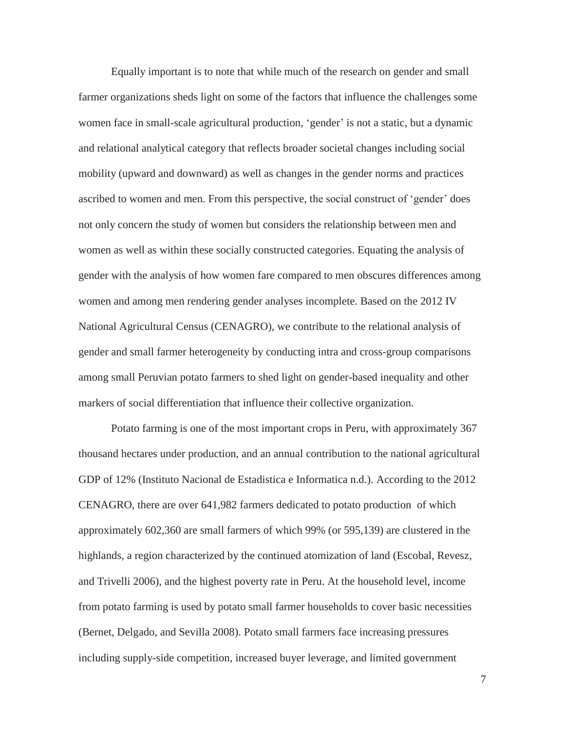Equally important is to note that while much of the research on gender and small farmer organizations sheds light on some of the factors that influence the challenges some women face in small-scale agricultural production, 'gender' is not a static, but a dynamic and relational analytical category that reflects broader societal changes including social mobility (upward and downward) as well as changes in the gender norms and practices ascribed to women and men. From this perspective, the social construct of 'gender' does not only concern the study of women but considers the relationship between men and women as well as within these socially constructed categories. Equating the analysis of gender with the analysis of how women fare compared to men obscures differences among women and among men rendering gender analyses incomplete. Based on the 2012 IV National Agricultural Census (CENAGRO), we contribute to the relational analysis of gender and small farmer heterogeneity by conducting intra and cross-group comparisons among small Peruvian potato farmers to shed light on gender-based inequality and other markers of social differentiation that influence their collective organization.

Potato farming is one of the most important crops in Peru, with approximately 367 thousand hectares under production, and an annual contribution to the national agricultural GDP of 12% (Instituto Nacional de Estadistica e Informatica n.d.). According to the 2012 CENAGRO, there are over 641,982 farmers dedicated to potato production of which approximately 602,360 are small farmers of which 99% (or 595,139) are clustered in the highlands, a region characterized by the continued atomization of land (Escobal, Revesz, and Trivelli 2006), and the highest poverty rate in Peru. At the household level, income from potato farming is used by potato small farmer households to cover basic necessities (Bernet, Delgado, and Sevilla 2008). Potato small farmers face increasing pressures including supply-side competition, increased buyer leverage, and limited government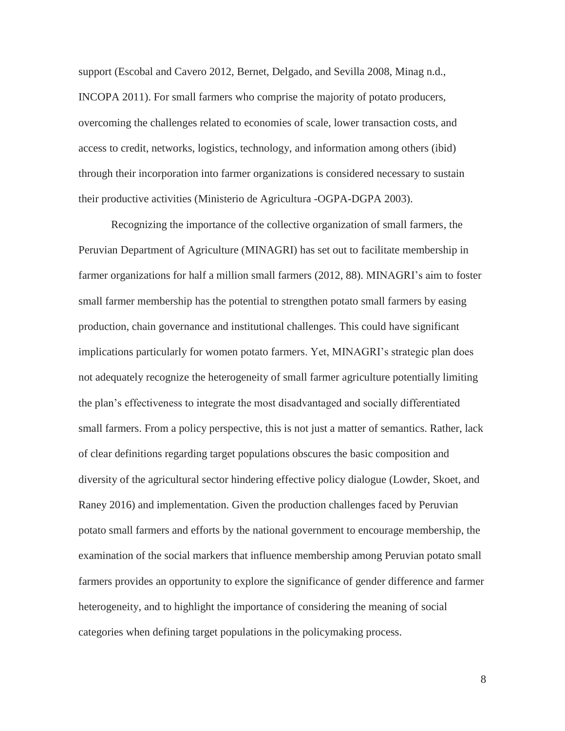support (Escobal and Cavero 2012, Bernet, Delgado, and Sevilla 2008, Minag n.d., INCOPA 2011). For small farmers who comprise the majority of potato producers, overcoming the challenges related to economies of scale, lower transaction costs, and access to credit, networks, logistics, technology, and information among others (ibid) through their incorporation into farmer organizations is considered necessary to sustain their productive activities (Ministerio de Agricultura -OGPA-DGPA 2003).

Recognizing the importance of the collective organization of small farmers, the Peruvian Department of Agriculture (MINAGRI) has set out to facilitate membership in farmer organizations for half a million small farmers (2012, 88). MINAGRI's aim to foster small farmer membership has the potential to strengthen potato small farmers by easing production, chain governance and institutional challenges. This could have significant implications particularly for women potato farmers. Yet, MINAGRI's strategic plan does not adequately recognize the heterogeneity of small farmer agriculture potentially limiting the plan's effectiveness to integrate the most disadvantaged and socially differentiated small farmers. From a policy perspective, this is not just a matter of semantics. Rather, lack of clear definitions regarding target populations obscures the basic composition and diversity of the agricultural sector hindering effective policy dialogue (Lowder, Skoet, and Raney 2016) and implementation. Given the production challenges faced by Peruvian potato small farmers and efforts by the national government to encourage membership, the examination of the social markers that influence membership among Peruvian potato small farmers provides an opportunity to explore the significance of gender difference and farmer heterogeneity, and to highlight the importance of considering the meaning of social categories when defining target populations in the policymaking process.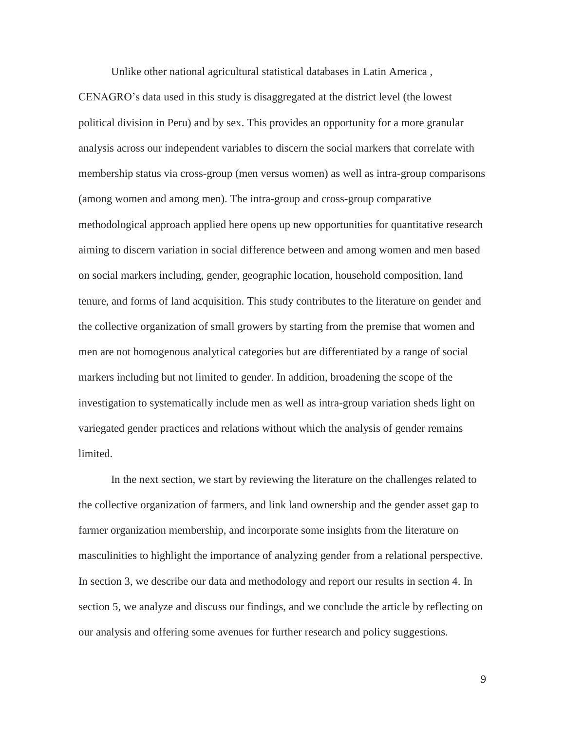Unlike other national agricultural statistical databases in Latin America , CENAGRO's data used in this study is disaggregated at the district level (the lowest political division in Peru) and by sex. This provides an opportunity for a more granular analysis across our independent variables to discern the social markers that correlate with membership status via cross-group (men versus women) as well as intra-group comparisons (among women and among men). The intra-group and cross-group comparative methodological approach applied here opens up new opportunities for quantitative research aiming to discern variation in social difference between and among women and men based on social markers including, gender, geographic location, household composition, land tenure, and forms of land acquisition. This study contributes to the literature on gender and the collective organization of small growers by starting from the premise that women and men are not homogenous analytical categories but are differentiated by a range of social markers including but not limited to gender. In addition, broadening the scope of the investigation to systematically include men as well as intra-group variation sheds light on variegated gender practices and relations without which the analysis of gender remains limited.

In the next section, we start by reviewing the literature on the challenges related to the collective organization of farmers, and link land ownership and the gender asset gap to farmer organization membership, and incorporate some insights from the literature on masculinities to highlight the importance of analyzing gender from a relational perspective. In section 3, we describe our data and methodology and report our results in section 4. In section 5, we analyze and discuss our findings, and we conclude the article by reflecting on our analysis and offering some avenues for further research and policy suggestions.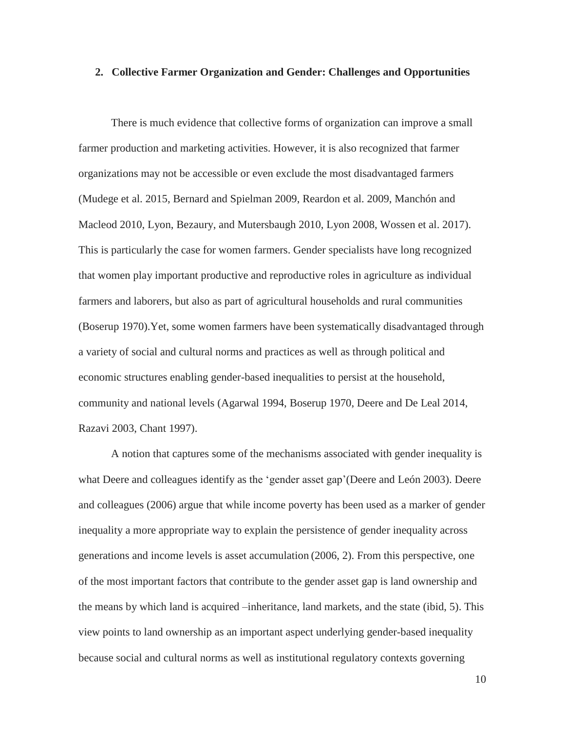#### **2. Collective Farmer Organization and Gender: Challenges and Opportunities**

There is much evidence that collective forms of organization can improve a small farmer production and marketing activities. However, it is also recognized that farmer organizations may not be accessible or even exclude the most disadvantaged farmers (Mudege et al. 2015, Bernard and Spielman 2009, Reardon et al. 2009, Manchón and Macleod 2010, Lyon, Bezaury, and Mutersbaugh 2010, Lyon 2008, Wossen et al. 2017). This is particularly the case for women farmers. Gender specialists have long recognized that women play important productive and reproductive roles in agriculture as individual farmers and laborers, but also as part of agricultural households and rural communities (Boserup 1970).Yet, some women farmers have been systematically disadvantaged through a variety of social and cultural norms and practices as well as through political and economic structures enabling gender-based inequalities to persist at the household, community and national levels (Agarwal 1994, Boserup 1970, Deere and De Leal 2014, Razavi 2003, Chant 1997).

A notion that captures some of the mechanisms associated with gender inequality is what Deere and colleagues identify as the 'gender asset gap'(Deere and León 2003). Deere and colleagues (2006) argue that while income poverty has been used as a marker of gender inequality a more appropriate way to explain the persistence of gender inequality across generations and income levels is asset accumulation (2006, 2). From this perspective, one of the most important factors that contribute to the gender asset gap is land ownership and the means by which land is acquired –inheritance, land markets, and the state (ibid, 5). This view points to land ownership as an important aspect underlying gender-based inequality because social and cultural norms as well as institutional regulatory contexts governing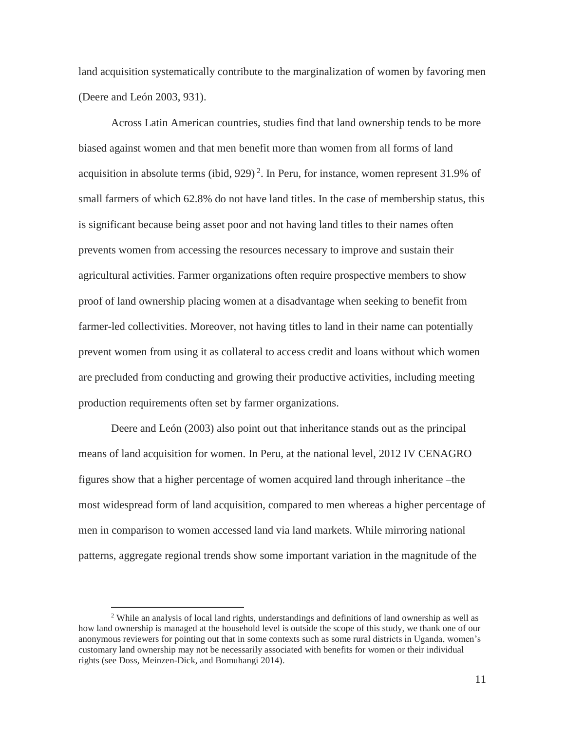land acquisition systematically contribute to the marginalization of women by favoring men (Deere and León 2003, 931).

Across Latin American countries, studies find that land ownership tends to be more biased against women and that men benefit more than women from all forms of land acquisition in absolute terms (ibid,  $929$ )<sup>2</sup>. In Peru, for instance, women represent 31.9% of small farmers of which 62.8% do not have land titles. In the case of membership status, this is significant because being asset poor and not having land titles to their names often prevents women from accessing the resources necessary to improve and sustain their agricultural activities. Farmer organizations often require prospective members to show proof of land ownership placing women at a disadvantage when seeking to benefit from farmer-led collectivities. Moreover, not having titles to land in their name can potentially prevent women from using it as collateral to access credit and loans without which women are precluded from conducting and growing their productive activities, including meeting production requirements often set by farmer organizations.

Deere and León (2003) also point out that inheritance stands out as the principal means of land acquisition for women. In Peru, at the national level, 2012 IV CENAGRO figures show that a higher percentage of women acquired land through inheritance –the most widespread form of land acquisition, compared to men whereas a higher percentage of men in comparison to women accessed land via land markets. While mirroring national patterns, aggregate regional trends show some important variation in the magnitude of the

 $\overline{a}$ 

<sup>2</sup> While an analysis of local land rights, understandings and definitions of land ownership as well as how land ownership is managed at the household level is outside the scope of this study, we thank one of our anonymous reviewers for pointing out that in some contexts such as some rural districts in Uganda, women's customary land ownership may not be necessarily associated with benefits for women or their individual rights (see Doss, Meinzen-Dick, and Bomuhangi 2014).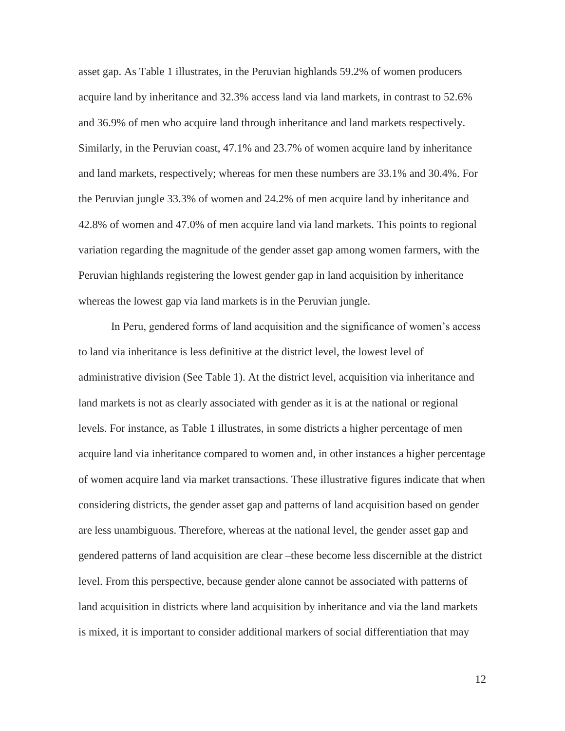asset gap. As Table 1 illustrates, in the Peruvian highlands 59.2% of women producers acquire land by inheritance and 32.3% access land via land markets, in contrast to 52.6% and 36.9% of men who acquire land through inheritance and land markets respectively. Similarly, in the Peruvian coast, 47.1% and 23.7% of women acquire land by inheritance and land markets, respectively; whereas for men these numbers are 33.1% and 30.4%. For the Peruvian jungle 33.3% of women and 24.2% of men acquire land by inheritance and 42.8% of women and 47.0% of men acquire land via land markets. This points to regional variation regarding the magnitude of the gender asset gap among women farmers, with the Peruvian highlands registering the lowest gender gap in land acquisition by inheritance whereas the lowest gap via land markets is in the Peruvian jungle.

In Peru, gendered forms of land acquisition and the significance of women's access to land via inheritance is less definitive at the district level, the lowest level of administrative division (See Table 1). At the district level, acquisition via inheritance and land markets is not as clearly associated with gender as it is at the national or regional levels. For instance, as Table 1 illustrates, in some districts a higher percentage of men acquire land via inheritance compared to women and, in other instances a higher percentage of women acquire land via market transactions. These illustrative figures indicate that when considering districts, the gender asset gap and patterns of land acquisition based on gender are less unambiguous. Therefore, whereas at the national level, the gender asset gap and gendered patterns of land acquisition are clear –these become less discernible at the district level. From this perspective, because gender alone cannot be associated with patterns of land acquisition in districts where land acquisition by inheritance and via the land markets is mixed, it is important to consider additional markers of social differentiation that may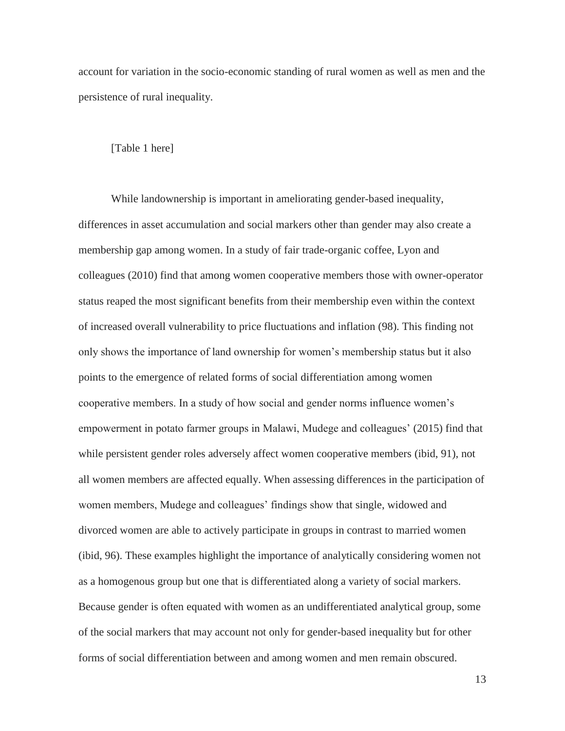account for variation in the socio-economic standing of rural women as well as men and the persistence of rural inequality.

#### [Table 1 here]

While landownership is important in ameliorating gender-based inequality, differences in asset accumulation and social markers other than gender may also create a membership gap among women. In a study of fair trade-organic coffee, Lyon and colleagues (2010) find that among women cooperative members those with owner-operator status reaped the most significant benefits from their membership even within the context of increased overall vulnerability to price fluctuations and inflation (98). This finding not only shows the importance of land ownership for women's membership status but it also points to the emergence of related forms of social differentiation among women cooperative members. In a study of how social and gender norms influence women's empowerment in potato farmer groups in Malawi, Mudege and colleagues' (2015) find that while persistent gender roles adversely affect women cooperative members (ibid, 91), not all women members are affected equally. When assessing differences in the participation of women members, Mudege and colleagues' findings show that single, widowed and divorced women are able to actively participate in groups in contrast to married women (ibid, 96). These examples highlight the importance of analytically considering women not as a homogenous group but one that is differentiated along a variety of social markers. Because gender is often equated with women as an undifferentiated analytical group, some of the social markers that may account not only for gender-based inequality but for other forms of social differentiation between and among women and men remain obscured.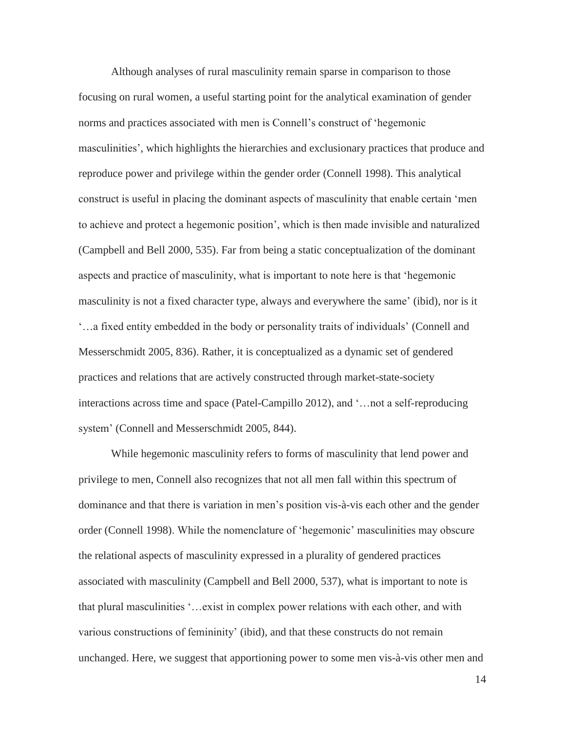Although analyses of rural masculinity remain sparse in comparison to those focusing on rural women, a useful starting point for the analytical examination of gender norms and practices associated with men is Connell's construct of 'hegemonic masculinities', which highlights the hierarchies and exclusionary practices that produce and reproduce power and privilege within the gender order (Connell 1998). This analytical construct is useful in placing the dominant aspects of masculinity that enable certain 'men to achieve and protect a hegemonic position', which is then made invisible and naturalized (Campbell and Bell 2000, 535). Far from being a static conceptualization of the dominant aspects and practice of masculinity, what is important to note here is that 'hegemonic masculinity is not a fixed character type, always and everywhere the same' (ibid), nor is it '…a fixed entity embedded in the body or personality traits of individuals' (Connell and Messerschmidt 2005, 836). Rather, it is conceptualized as a dynamic set of gendered practices and relations that are actively constructed through market-state-society interactions across time and space (Patel-Campillo 2012), and '…not a self-reproducing system' (Connell and Messerschmidt 2005, 844).

While hegemonic masculinity refers to forms of masculinity that lend power and privilege to men, Connell also recognizes that not all men fall within this spectrum of dominance and that there is variation in men's position vis-à-vis each other and the gender order (Connell 1998). While the nomenclature of 'hegemonic' masculinities may obscure the relational aspects of masculinity expressed in a plurality of gendered practices associated with masculinity (Campbell and Bell 2000, 537), what is important to note is that plural masculinities '…exist in complex power relations with each other, and with various constructions of femininity' (ibid), and that these constructs do not remain unchanged. Here, we suggest that apportioning power to some men vis-à-vis other men and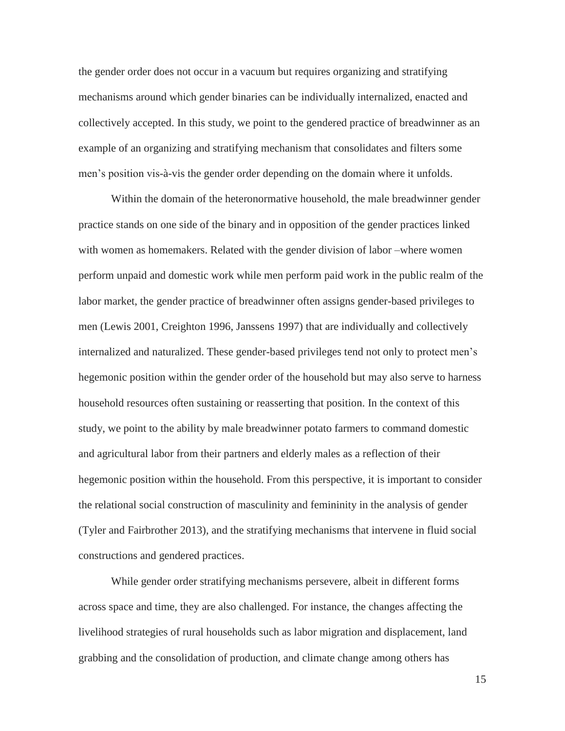the gender order does not occur in a vacuum but requires organizing and stratifying mechanisms around which gender binaries can be individually internalized, enacted and collectively accepted. In this study, we point to the gendered practice of breadwinner as an example of an organizing and stratifying mechanism that consolidates and filters some men's position vis-à-vis the gender order depending on the domain where it unfolds.

Within the domain of the heteronormative household, the male breadwinner gender practice stands on one side of the binary and in opposition of the gender practices linked with women as homemakers. Related with the gender division of labor –where women perform unpaid and domestic work while men perform paid work in the public realm of the labor market, the gender practice of breadwinner often assigns gender-based privileges to men (Lewis 2001, Creighton 1996, Janssens 1997) that are individually and collectively internalized and naturalized. These gender-based privileges tend not only to protect men's hegemonic position within the gender order of the household but may also serve to harness household resources often sustaining or reasserting that position. In the context of this study, we point to the ability by male breadwinner potato farmers to command domestic and agricultural labor from their partners and elderly males as a reflection of their hegemonic position within the household. From this perspective, it is important to consider the relational social construction of masculinity and femininity in the analysis of gender (Tyler and Fairbrother 2013), and the stratifying mechanisms that intervene in fluid social constructions and gendered practices.

While gender order stratifying mechanisms persevere, albeit in different forms across space and time, they are also challenged. For instance, the changes affecting the livelihood strategies of rural households such as labor migration and displacement, land grabbing and the consolidation of production, and climate change among others has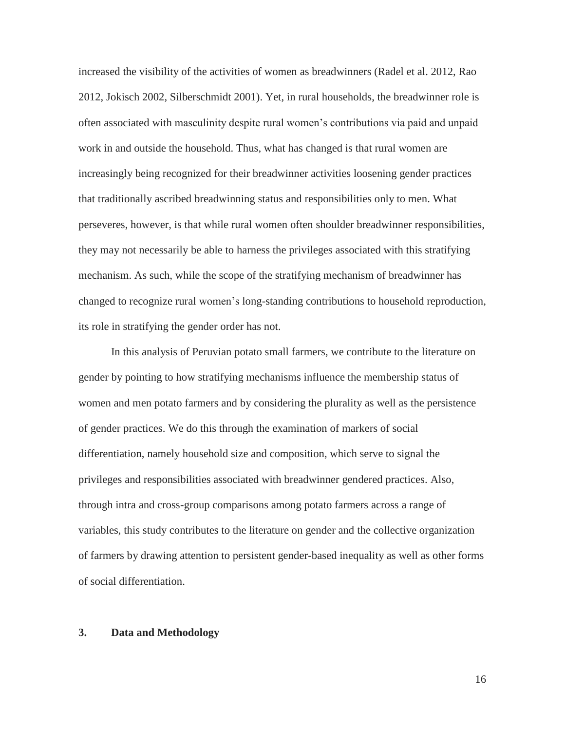increased the visibility of the activities of women as breadwinners (Radel et al. 2012, Rao 2012, Jokisch 2002, Silberschmidt 2001). Yet, in rural households, the breadwinner role is often associated with masculinity despite rural women's contributions via paid and unpaid work in and outside the household. Thus, what has changed is that rural women are increasingly being recognized for their breadwinner activities loosening gender practices that traditionally ascribed breadwinning status and responsibilities only to men. What perseveres, however, is that while rural women often shoulder breadwinner responsibilities, they may not necessarily be able to harness the privileges associated with this stratifying mechanism. As such, while the scope of the stratifying mechanism of breadwinner has changed to recognize rural women's long-standing contributions to household reproduction, its role in stratifying the gender order has not.

In this analysis of Peruvian potato small farmers, we contribute to the literature on gender by pointing to how stratifying mechanisms influence the membership status of women and men potato farmers and by considering the plurality as well as the persistence of gender practices. We do this through the examination of markers of social differentiation, namely household size and composition, which serve to signal the privileges and responsibilities associated with breadwinner gendered practices. Also, through intra and cross-group comparisons among potato farmers across a range of variables, this study contributes to the literature on gender and the collective organization of farmers by drawing attention to persistent gender-based inequality as well as other forms of social differentiation.

# **3. Data and Methodology**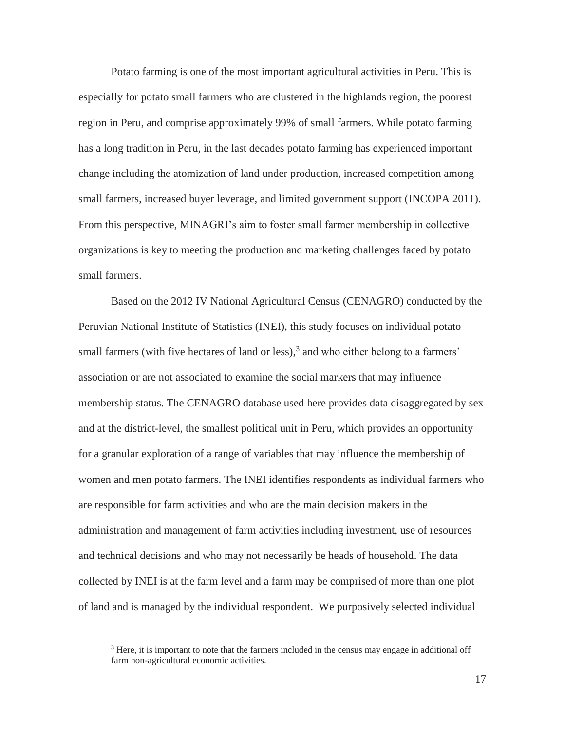Potato farming is one of the most important agricultural activities in Peru. This is especially for potato small farmers who are clustered in the highlands region, the poorest region in Peru, and comprise approximately 99% of small farmers. While potato farming has a long tradition in Peru, in the last decades potato farming has experienced important change including the atomization of land under production, increased competition among small farmers, increased buyer leverage, and limited government support (INCOPA 2011). From this perspective, MINAGRI's aim to foster small farmer membership in collective organizations is key to meeting the production and marketing challenges faced by potato small farmers.

Based on the 2012 IV National Agricultural Census (CENAGRO) conducted by the Peruvian National Institute of Statistics (INEI), this study focuses on individual potato small farmers (with five hectares of land or less), 3 and who either belong to a farmers' association or are not associated to examine the social markers that may influence membership status. The CENAGRO database used here provides data disaggregated by sex and at the district-level, the smallest political unit in Peru, which provides an opportunity for a granular exploration of a range of variables that may influence the membership of women and men potato farmers. The INEI identifies respondents as individual farmers who are responsible for farm activities and who are the main decision makers in the administration and management of farm activities including investment, use of resources and technical decisions and who may not necessarily be heads of household. The data collected by INEI is at the farm level and a farm may be comprised of more than one plot of land and is managed by the individual respondent. We purposively selected individual

 $\overline{a}$ 

<sup>&</sup>lt;sup>3</sup> Here, it is important to note that the farmers included in the census may engage in additional off farm non-agricultural economic activities.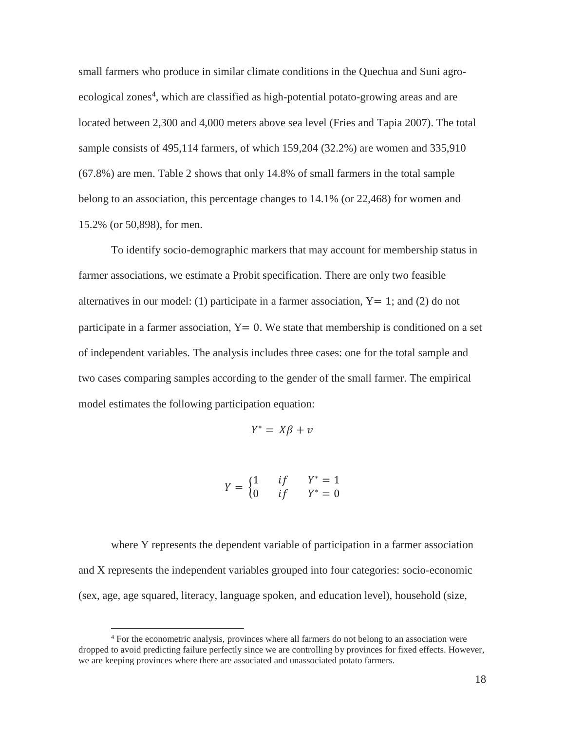small farmers who produce in similar climate conditions in the Quechua and Suni agroecological zones<sup>4</sup>, which are classified as high-potential potato-growing areas and are located between 2,300 and 4,000 meters above sea level (Fries and Tapia 2007). The total sample consists of 495,114 farmers, of which 159,204 (32.2%) are women and 335,910 (67.8%) are men. Table 2 shows that only 14.8% of small farmers in the total sample belong to an association, this percentage changes to 14.1% (or 22,468) for women and 15.2% (or 50,898), for men.

To identify socio-demographic markers that may account for membership status in farmer associations, we estimate a Probit specification. There are only two feasible alternatives in our model: (1) participate in a farmer association,  $Y = 1$ ; and (2) do not participate in a farmer association,  $Y = 0$ . We state that membership is conditioned on a set of independent variables. The analysis includes three cases: one for the total sample and two cases comparing samples according to the gender of the small farmer. The empirical model estimates the following participation equation:

 $Y^* = X\beta + v$ 

$$
Y = \begin{cases} 1 & if & Y^* = 1 \\ 0 & if & Y^* = 0 \end{cases}
$$

where Y represents the dependent variable of participation in a farmer association and X represents the independent variables grouped into four categories: socio-economic (sex, age, age squared, literacy, language spoken, and education level), household (size,

 $\overline{a}$ 

<sup>4</sup> For the econometric analysis, provinces where all farmers do not belong to an association were dropped to avoid predicting failure perfectly since we are controlling by provinces for fixed effects. However, we are keeping provinces where there are associated and unassociated potato farmers.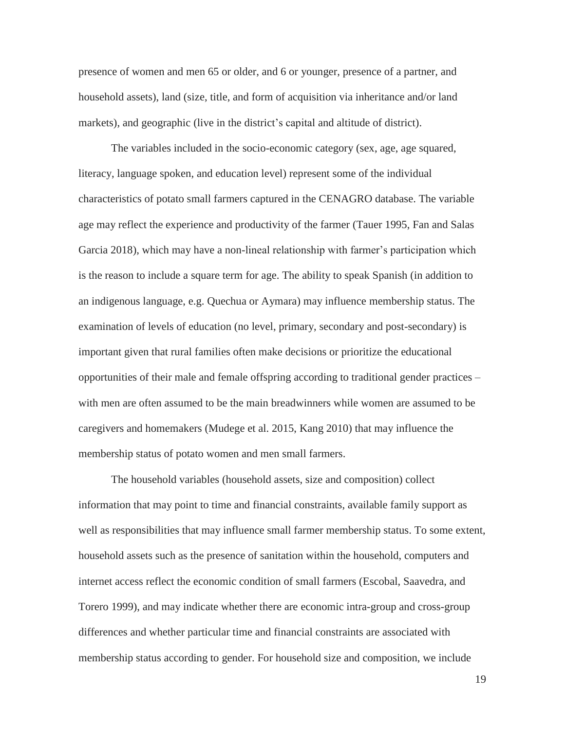presence of women and men 65 or older, and 6 or younger, presence of a partner, and household assets), land (size, title, and form of acquisition via inheritance and/or land markets), and geographic (live in the district's capital and altitude of district).

The variables included in the socio-economic category (sex, age, age squared, literacy, language spoken, and education level) represent some of the individual characteristics of potato small farmers captured in the CENAGRO database. The variable age may reflect the experience and productivity of the farmer (Tauer 1995, Fan and Salas Garcia 2018), which may have a non-lineal relationship with farmer's participation which is the reason to include a square term for age. The ability to speak Spanish (in addition to an indigenous language, e.g. Quechua or Aymara) may influence membership status. The examination of levels of education (no level, primary, secondary and post-secondary) is important given that rural families often make decisions or prioritize the educational opportunities of their male and female offspring according to traditional gender practices – with men are often assumed to be the main breadwinners while women are assumed to be caregivers and homemakers (Mudege et al. 2015, Kang 2010) that may influence the membership status of potato women and men small farmers.

The household variables (household assets, size and composition) collect information that may point to time and financial constraints, available family support as well as responsibilities that may influence small farmer membership status. To some extent, household assets such as the presence of sanitation within the household, computers and internet access reflect the economic condition of small farmers (Escobal, Saavedra, and Torero 1999), and may indicate whether there are economic intra-group and cross-group differences and whether particular time and financial constraints are associated with membership status according to gender. For household size and composition, we include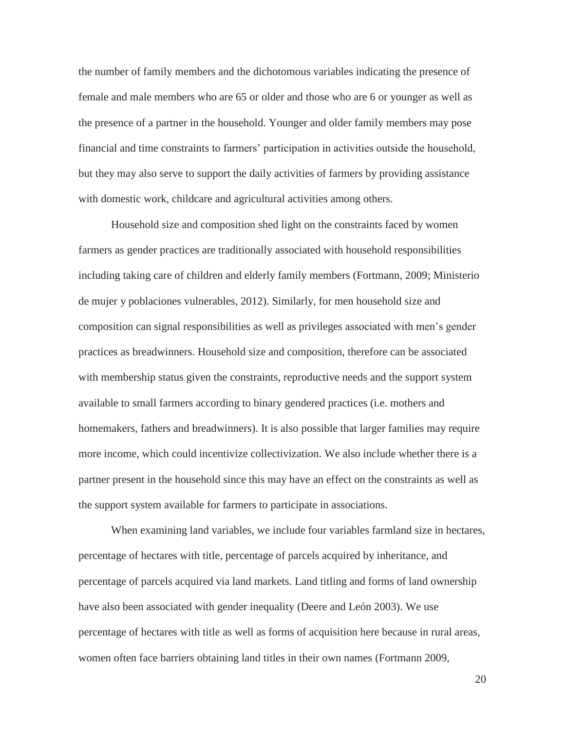the number of family members and the dichotomous variables indicating the presence of female and male members who are 65 or older and those who are 6 or younger as well as the presence of a partner in the household. Younger and older family members may pose financial and time constraints to farmers' participation in activities outside the household, but they may also serve to support the daily activities of farmers by providing assistance with domestic work, childcare and agricultural activities among others.

Household size and composition shed light on the constraints faced by women farmers as gender practices are traditionally associated with household responsibilities including taking care of children and elderly family members (Fortmann, 2009; Ministerio de mujer y poblaciones vulnerables, 2012). Similarly, for men household size and composition can signal responsibilities as well as privileges associated with men's gender practices as breadwinners. Household size and composition, therefore can be associated with membership status given the constraints, reproductive needs and the support system available to small farmers according to binary gendered practices (i.e. mothers and homemakers, fathers and breadwinners). It is also possible that larger families may require more income, which could incentivize collectivization. We also include whether there is a partner present in the household since this may have an effect on the constraints as well as the support system available for farmers to participate in associations.

When examining land variables, we include four variables farmland size in hectares, percentage of hectares with title, percentage of parcels acquired by inheritance, and percentage of parcels acquired via land markets. Land titling and forms of land ownership have also been associated with gender inequality (Deere and León 2003). We use percentage of hectares with title as well as forms of acquisition here because in rural areas, women often face barriers obtaining land titles in their own names (Fortmann 2009,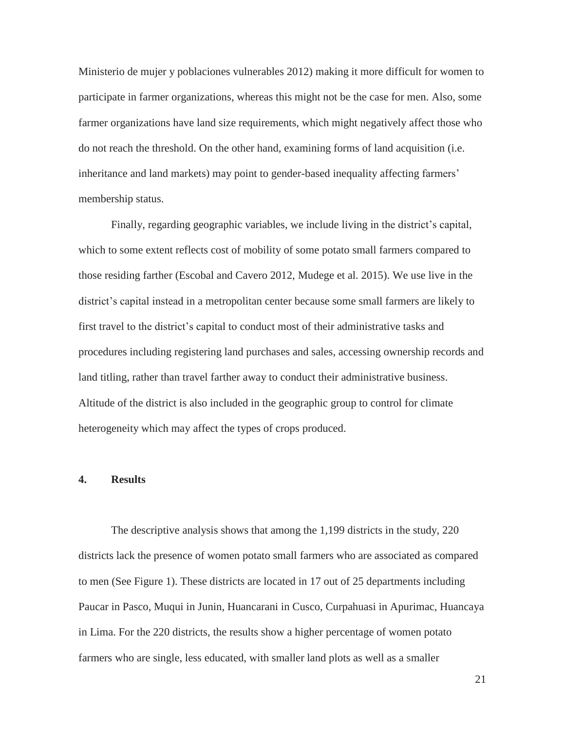Ministerio de mujer y poblaciones vulnerables 2012) making it more difficult for women to participate in farmer organizations, whereas this might not be the case for men. Also, some farmer organizations have land size requirements, which might negatively affect those who do not reach the threshold. On the other hand, examining forms of land acquisition (i.e. inheritance and land markets) may point to gender-based inequality affecting farmers' membership status.

Finally, regarding geographic variables, we include living in the district's capital, which to some extent reflects cost of mobility of some potato small farmers compared to those residing farther (Escobal and Cavero 2012, Mudege et al. 2015). We use live in the district's capital instead in a metropolitan center because some small farmers are likely to first travel to the district's capital to conduct most of their administrative tasks and procedures including registering land purchases and sales, accessing ownership records and land titling, rather than travel farther away to conduct their administrative business. Altitude of the district is also included in the geographic group to control for climate heterogeneity which may affect the types of crops produced.

# **4. Results**

The descriptive analysis shows that among the 1,199 districts in the study, 220 districts lack the presence of women potato small farmers who are associated as compared to men (See Figure 1). These districts are located in 17 out of 25 departments including Paucar in Pasco, Muqui in Junin, Huancarani in Cusco, Curpahuasi in Apurimac, Huancaya in Lima. For the 220 districts, the results show a higher percentage of women potato farmers who are single, less educated, with smaller land plots as well as a smaller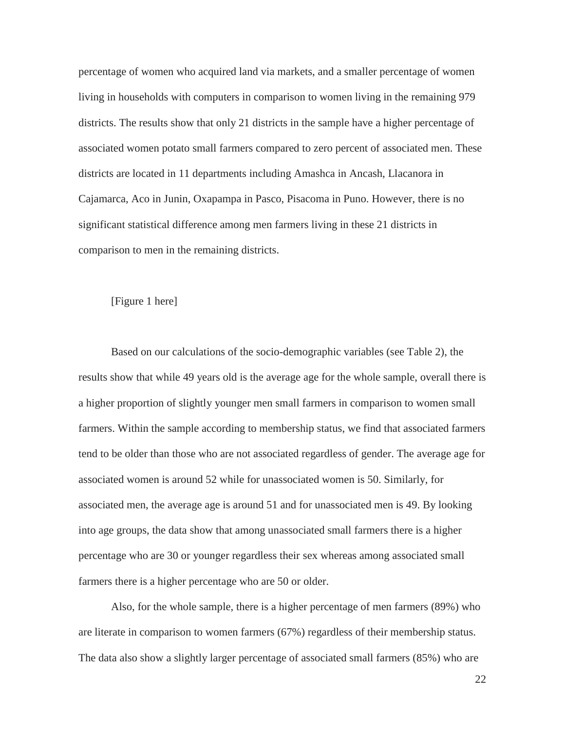percentage of women who acquired land via markets, and a smaller percentage of women living in households with computers in comparison to women living in the remaining 979 districts. The results show that only 21 districts in the sample have a higher percentage of associated women potato small farmers compared to zero percent of associated men. These districts are located in 11 departments including Amashca in Ancash, Llacanora in Cajamarca, Aco in Junin, Oxapampa in Pasco, Pisacoma in Puno. However, there is no significant statistical difference among men farmers living in these 21 districts in comparison to men in the remaining districts.

# [Figure 1 here]

Based on our calculations of the socio-demographic variables (see Table 2), the results show that while 49 years old is the average age for the whole sample, overall there is a higher proportion of slightly younger men small farmers in comparison to women small farmers. Within the sample according to membership status, we find that associated farmers tend to be older than those who are not associated regardless of gender. The average age for associated women is around 52 while for unassociated women is 50. Similarly, for associated men, the average age is around 51 and for unassociated men is 49. By looking into age groups, the data show that among unassociated small farmers there is a higher percentage who are 30 or younger regardless their sex whereas among associated small farmers there is a higher percentage who are 50 or older.

Also, for the whole sample, there is a higher percentage of men farmers (89%) who are literate in comparison to women farmers (67%) regardless of their membership status. The data also show a slightly larger percentage of associated small farmers (85%) who are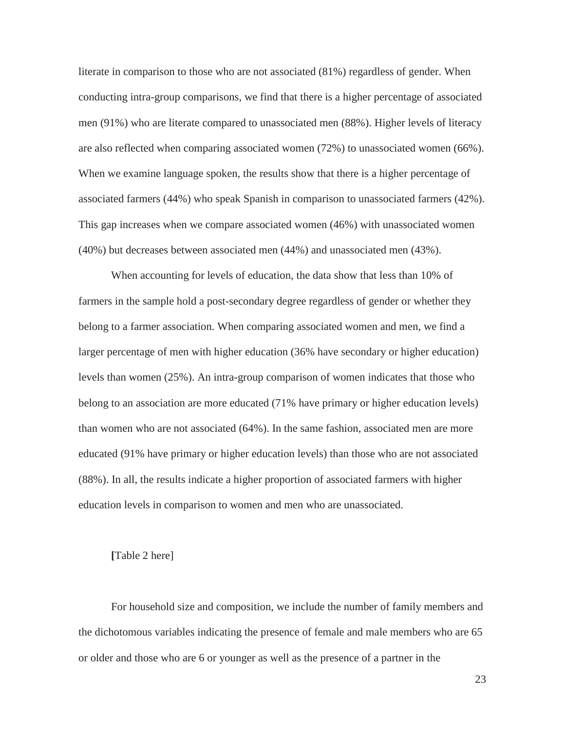literate in comparison to those who are not associated (81%) regardless of gender. When conducting intra-group comparisons, we find that there is a higher percentage of associated men (91%) who are literate compared to unassociated men (88%). Higher levels of literacy are also reflected when comparing associated women (72%) to unassociated women (66%). When we examine language spoken, the results show that there is a higher percentage of associated farmers (44%) who speak Spanish in comparison to unassociated farmers (42%). This gap increases when we compare associated women (46%) with unassociated women (40%) but decreases between associated men (44%) and unassociated men (43%).

When accounting for levels of education, the data show that less than 10% of farmers in the sample hold a post-secondary degree regardless of gender or whether they belong to a farmer association. When comparing associated women and men, we find a larger percentage of men with higher education (36% have secondary or higher education) levels than women (25%). An intra-group comparison of women indicates that those who belong to an association are more educated (71% have primary or higher education levels) than women who are not associated (64%). In the same fashion, associated men are more educated (91% have primary or higher education levels) than those who are not associated (88%). In all, the results indicate a higher proportion of associated farmers with higher education levels in comparison to women and men who are unassociated.

# **[**Table 2 here]

For household size and composition, we include the number of family members and the dichotomous variables indicating the presence of female and male members who are 65 or older and those who are 6 or younger as well as the presence of a partner in the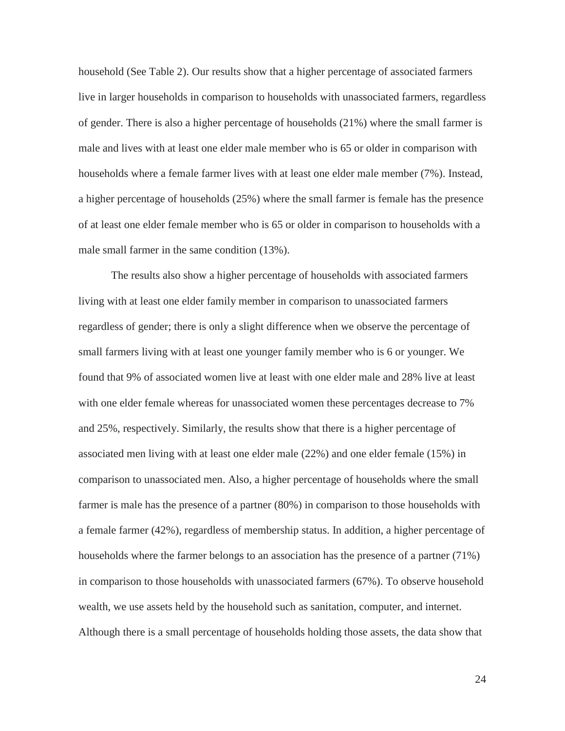household (See Table 2). Our results show that a higher percentage of associated farmers live in larger households in comparison to households with unassociated farmers, regardless of gender. There is also a higher percentage of households (21%) where the small farmer is male and lives with at least one elder male member who is 65 or older in comparison with households where a female farmer lives with at least one elder male member (7%). Instead, a higher percentage of households (25%) where the small farmer is female has the presence of at least one elder female member who is 65 or older in comparison to households with a male small farmer in the same condition (13%).

The results also show a higher percentage of households with associated farmers living with at least one elder family member in comparison to unassociated farmers regardless of gender; there is only a slight difference when we observe the percentage of small farmers living with at least one younger family member who is 6 or younger. We found that 9% of associated women live at least with one elder male and 28% live at least with one elder female whereas for unassociated women these percentages decrease to 7% and 25%, respectively. Similarly, the results show that there is a higher percentage of associated men living with at least one elder male (22%) and one elder female (15%) in comparison to unassociated men. Also, a higher percentage of households where the small farmer is male has the presence of a partner (80%) in comparison to those households with a female farmer (42%), regardless of membership status. In addition, a higher percentage of households where the farmer belongs to an association has the presence of a partner (71%) in comparison to those households with unassociated farmers (67%). To observe household wealth, we use assets held by the household such as sanitation, computer, and internet. Although there is a small percentage of households holding those assets, the data show that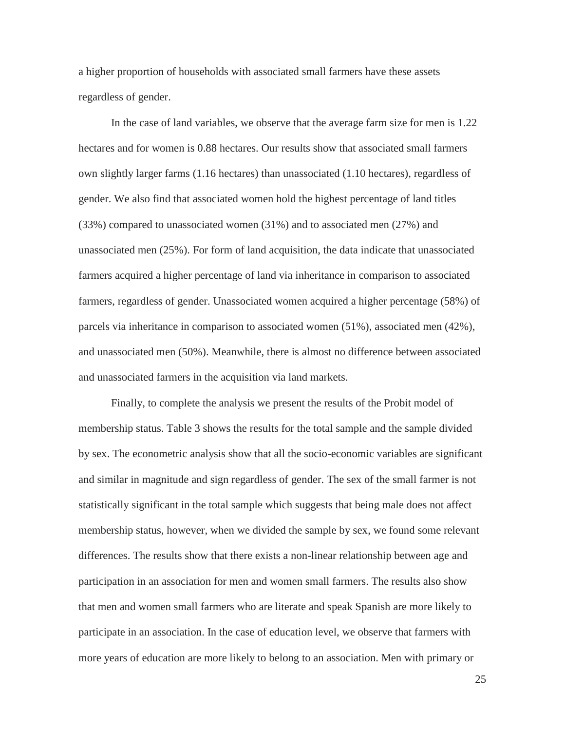a higher proportion of households with associated small farmers have these assets regardless of gender.

In the case of land variables, we observe that the average farm size for men is 1.22 hectares and for women is 0.88 hectares. Our results show that associated small farmers own slightly larger farms (1.16 hectares) than unassociated (1.10 hectares), regardless of gender. We also find that associated women hold the highest percentage of land titles (33%) compared to unassociated women (31%) and to associated men (27%) and unassociated men (25%). For form of land acquisition, the data indicate that unassociated farmers acquired a higher percentage of land via inheritance in comparison to associated farmers, regardless of gender. Unassociated women acquired a higher percentage (58%) of parcels via inheritance in comparison to associated women (51%), associated men (42%), and unassociated men (50%). Meanwhile, there is almost no difference between associated and unassociated farmers in the acquisition via land markets.

Finally, to complete the analysis we present the results of the Probit model of membership status. Table 3 shows the results for the total sample and the sample divided by sex. The econometric analysis show that all the socio-economic variables are significant and similar in magnitude and sign regardless of gender. The sex of the small farmer is not statistically significant in the total sample which suggests that being male does not affect membership status, however, when we divided the sample by sex, we found some relevant differences. The results show that there exists a non-linear relationship between age and participation in an association for men and women small farmers. The results also show that men and women small farmers who are literate and speak Spanish are more likely to participate in an association. In the case of education level, we observe that farmers with more years of education are more likely to belong to an association. Men with primary or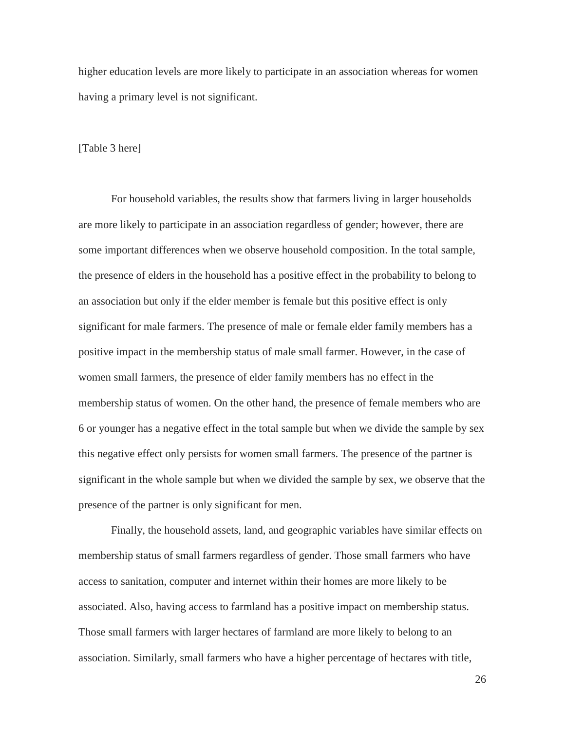higher education levels are more likely to participate in an association whereas for women having a primary level is not significant.

#### [Table 3 here]

For household variables, the results show that farmers living in larger households are more likely to participate in an association regardless of gender; however, there are some important differences when we observe household composition. In the total sample, the presence of elders in the household has a positive effect in the probability to belong to an association but only if the elder member is female but this positive effect is only significant for male farmers. The presence of male or female elder family members has a positive impact in the membership status of male small farmer. However, in the case of women small farmers, the presence of elder family members has no effect in the membership status of women. On the other hand, the presence of female members who are 6 or younger has a negative effect in the total sample but when we divide the sample by sex this negative effect only persists for women small farmers. The presence of the partner is significant in the whole sample but when we divided the sample by sex, we observe that the presence of the partner is only significant for men.

Finally, the household assets, land, and geographic variables have similar effects on membership status of small farmers regardless of gender. Those small farmers who have access to sanitation, computer and internet within their homes are more likely to be associated. Also, having access to farmland has a positive impact on membership status. Those small farmers with larger hectares of farmland are more likely to belong to an association. Similarly, small farmers who have a higher percentage of hectares with title,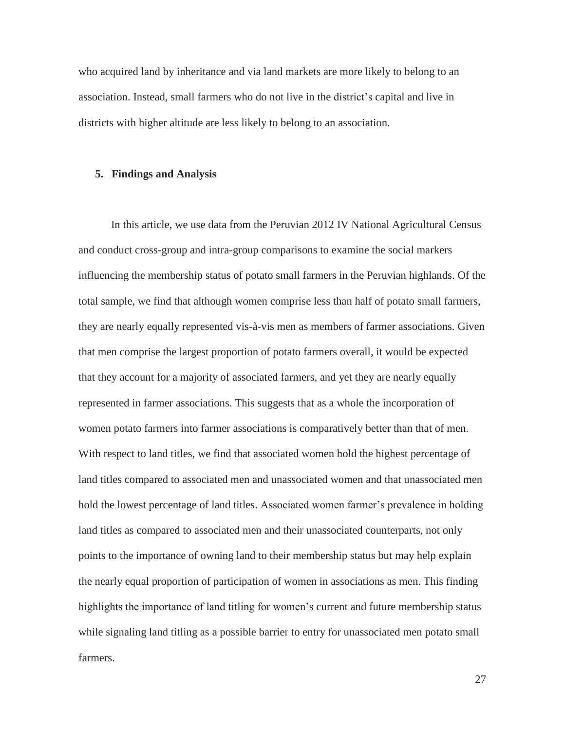who acquired land by inheritance and via land markets are more likely to belong to an association. Instead, small farmers who do not live in the district's capital and live in districts with higher altitude are less likely to belong to an association.

### **5. Findings and Analysis**

In this article, we use data from the Peruvian 2012 IV National Agricultural Census and conduct cross-group and intra-group comparisons to examine the social markers influencing the membership status of potato small farmers in the Peruvian highlands. Of the total sample, we find that although women comprise less than half of potato small farmers, they are nearly equally represented vis-à-vis men as members of farmer associations. Given that men comprise the largest proportion of potato farmers overall, it would be expected that they account for a majority of associated farmers, and yet they are nearly equally represented in farmer associations. This suggests that as a whole the incorporation of women potato farmers into farmer associations is comparatively better than that of men. With respect to land titles, we find that associated women hold the highest percentage of land titles compared to associated men and unassociated women and that unassociated men hold the lowest percentage of land titles. Associated women farmer's prevalence in holding land titles as compared to associated men and their unassociated counterparts, not only points to the importance of owning land to their membership status but may help explain the nearly equal proportion of participation of women in associations as men. This finding highlights the importance of land titling for women's current and future membership status while signaling land titling as a possible barrier to entry for unassociated men potato small farmers.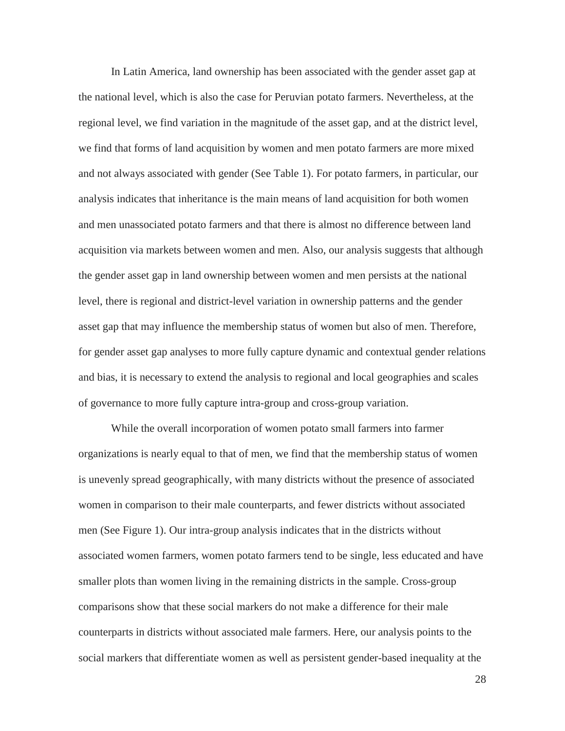In Latin America, land ownership has been associated with the gender asset gap at the national level, which is also the case for Peruvian potato farmers. Nevertheless, at the regional level, we find variation in the magnitude of the asset gap, and at the district level, we find that forms of land acquisition by women and men potato farmers are more mixed and not always associated with gender (See Table 1). For potato farmers, in particular, our analysis indicates that inheritance is the main means of land acquisition for both women and men unassociated potato farmers and that there is almost no difference between land acquisition via markets between women and men. Also, our analysis suggests that although the gender asset gap in land ownership between women and men persists at the national level, there is regional and district-level variation in ownership patterns and the gender asset gap that may influence the membership status of women but also of men. Therefore, for gender asset gap analyses to more fully capture dynamic and contextual gender relations and bias, it is necessary to extend the analysis to regional and local geographies and scales of governance to more fully capture intra-group and cross-group variation.

While the overall incorporation of women potato small farmers into farmer organizations is nearly equal to that of men, we find that the membership status of women is unevenly spread geographically, with many districts without the presence of associated women in comparison to their male counterparts, and fewer districts without associated men (See Figure 1). Our intra-group analysis indicates that in the districts without associated women farmers, women potato farmers tend to be single, less educated and have smaller plots than women living in the remaining districts in the sample. Cross-group comparisons show that these social markers do not make a difference for their male counterparts in districts without associated male farmers. Here, our analysis points to the social markers that differentiate women as well as persistent gender-based inequality at the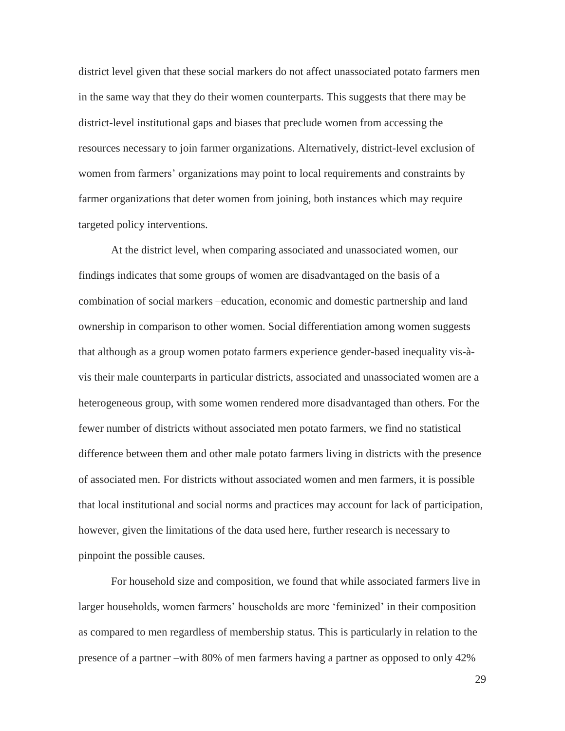district level given that these social markers do not affect unassociated potato farmers men in the same way that they do their women counterparts. This suggests that there may be district-level institutional gaps and biases that preclude women from accessing the resources necessary to join farmer organizations. Alternatively, district-level exclusion of women from farmers' organizations may point to local requirements and constraints by farmer organizations that deter women from joining, both instances which may require targeted policy interventions.

At the district level, when comparing associated and unassociated women, our findings indicates that some groups of women are disadvantaged on the basis of a combination of social markers –education, economic and domestic partnership and land ownership in comparison to other women. Social differentiation among women suggests that although as a group women potato farmers experience gender-based inequality vis-àvis their male counterparts in particular districts, associated and unassociated women are a heterogeneous group, with some women rendered more disadvantaged than others. For the fewer number of districts without associated men potato farmers, we find no statistical difference between them and other male potato farmers living in districts with the presence of associated men. For districts without associated women and men farmers, it is possible that local institutional and social norms and practices may account for lack of participation, however, given the limitations of the data used here, further research is necessary to pinpoint the possible causes.

For household size and composition, we found that while associated farmers live in larger households, women farmers' households are more 'feminized' in their composition as compared to men regardless of membership status. This is particularly in relation to the presence of a partner –with 80% of men farmers having a partner as opposed to only 42%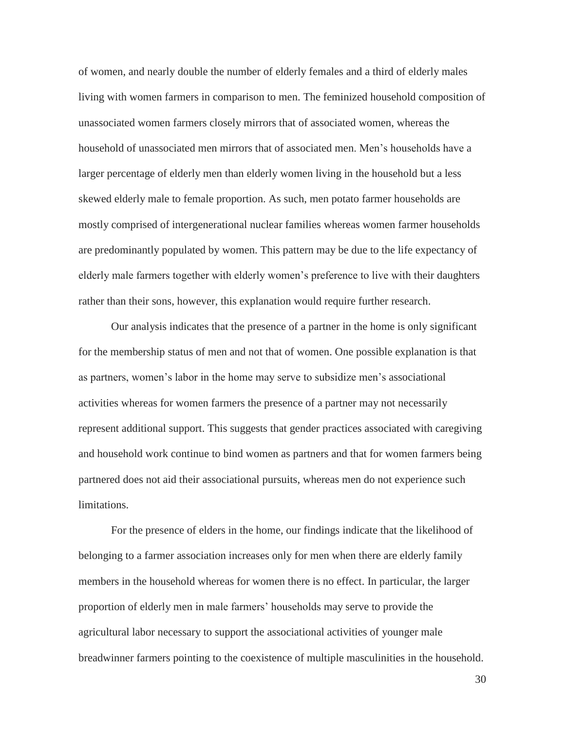of women, and nearly double the number of elderly females and a third of elderly males living with women farmers in comparison to men. The feminized household composition of unassociated women farmers closely mirrors that of associated women, whereas the household of unassociated men mirrors that of associated men. Men's households have a larger percentage of elderly men than elderly women living in the household but a less skewed elderly male to female proportion. As such, men potato farmer households are mostly comprised of intergenerational nuclear families whereas women farmer households are predominantly populated by women. This pattern may be due to the life expectancy of elderly male farmers together with elderly women's preference to live with their daughters rather than their sons, however, this explanation would require further research.

Our analysis indicates that the presence of a partner in the home is only significant for the membership status of men and not that of women. One possible explanation is that as partners, women's labor in the home may serve to subsidize men's associational activities whereas for women farmers the presence of a partner may not necessarily represent additional support. This suggests that gender practices associated with caregiving and household work continue to bind women as partners and that for women farmers being partnered does not aid their associational pursuits, whereas men do not experience such limitations.

For the presence of elders in the home, our findings indicate that the likelihood of belonging to a farmer association increases only for men when there are elderly family members in the household whereas for women there is no effect. In particular, the larger proportion of elderly men in male farmers' households may serve to provide the agricultural labor necessary to support the associational activities of younger male breadwinner farmers pointing to the coexistence of multiple masculinities in the household.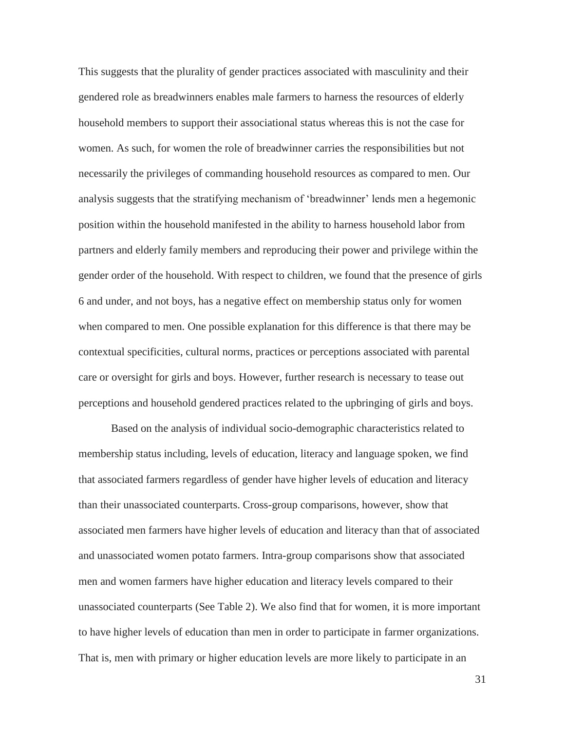This suggests that the plurality of gender practices associated with masculinity and their gendered role as breadwinners enables male farmers to harness the resources of elderly household members to support their associational status whereas this is not the case for women. As such, for women the role of breadwinner carries the responsibilities but not necessarily the privileges of commanding household resources as compared to men. Our analysis suggests that the stratifying mechanism of 'breadwinner' lends men a hegemonic position within the household manifested in the ability to harness household labor from partners and elderly family members and reproducing their power and privilege within the gender order of the household. With respect to children, we found that the presence of girls 6 and under, and not boys, has a negative effect on membership status only for women when compared to men. One possible explanation for this difference is that there may be contextual specificities, cultural norms, practices or perceptions associated with parental care or oversight for girls and boys. However, further research is necessary to tease out perceptions and household gendered practices related to the upbringing of girls and boys.

Based on the analysis of individual socio-demographic characteristics related to membership status including, levels of education, literacy and language spoken, we find that associated farmers regardless of gender have higher levels of education and literacy than their unassociated counterparts. Cross-group comparisons, however, show that associated men farmers have higher levels of education and literacy than that of associated and unassociated women potato farmers. Intra-group comparisons show that associated men and women farmers have higher education and literacy levels compared to their unassociated counterparts (See Table 2). We also find that for women, it is more important to have higher levels of education than men in order to participate in farmer organizations. That is, men with primary or higher education levels are more likely to participate in an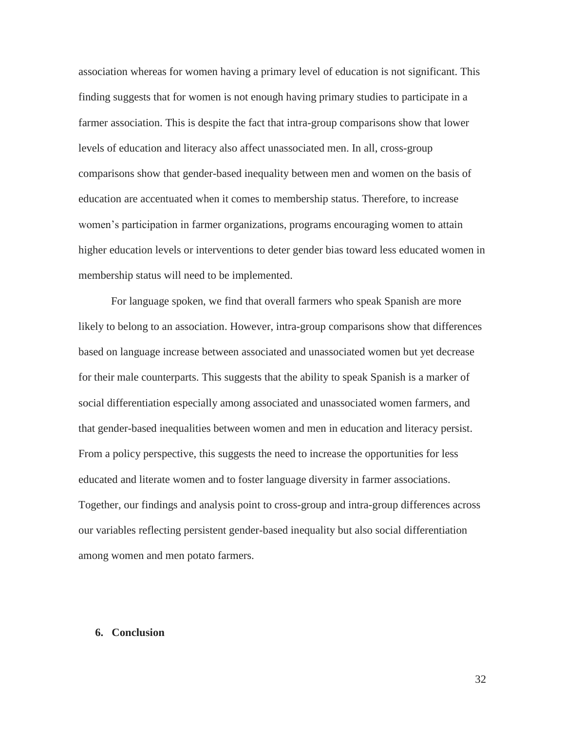association whereas for women having a primary level of education is not significant. This finding suggests that for women is not enough having primary studies to participate in a farmer association. This is despite the fact that intra-group comparisons show that lower levels of education and literacy also affect unassociated men. In all, cross-group comparisons show that gender-based inequality between men and women on the basis of education are accentuated when it comes to membership status. Therefore, to increase women's participation in farmer organizations, programs encouraging women to attain higher education levels or interventions to deter gender bias toward less educated women in membership status will need to be implemented.

For language spoken, we find that overall farmers who speak Spanish are more likely to belong to an association. However, intra-group comparisons show that differences based on language increase between associated and unassociated women but yet decrease for their male counterparts. This suggests that the ability to speak Spanish is a marker of social differentiation especially among associated and unassociated women farmers, and that gender-based inequalities between women and men in education and literacy persist. From a policy perspective, this suggests the need to increase the opportunities for less educated and literate women and to foster language diversity in farmer associations. Together, our findings and analysis point to cross-group and intra-group differences across our variables reflecting persistent gender-based inequality but also social differentiation among women and men potato farmers.

## **6. Conclusion**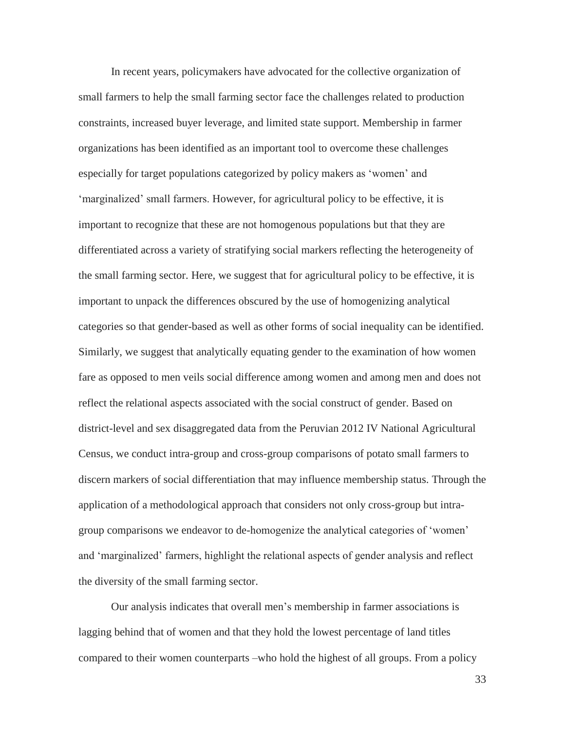In recent years, policymakers have advocated for the collective organization of small farmers to help the small farming sector face the challenges related to production constraints, increased buyer leverage, and limited state support. Membership in farmer organizations has been identified as an important tool to overcome these challenges especially for target populations categorized by policy makers as 'women' and 'marginalized' small farmers. However, for agricultural policy to be effective, it is important to recognize that these are not homogenous populations but that they are differentiated across a variety of stratifying social markers reflecting the heterogeneity of the small farming sector. Here, we suggest that for agricultural policy to be effective, it is important to unpack the differences obscured by the use of homogenizing analytical categories so that gender-based as well as other forms of social inequality can be identified. Similarly, we suggest that analytically equating gender to the examination of how women fare as opposed to men veils social difference among women and among men and does not reflect the relational aspects associated with the social construct of gender. Based on district-level and sex disaggregated data from the Peruvian 2012 IV National Agricultural Census, we conduct intra-group and cross-group comparisons of potato small farmers to discern markers of social differentiation that may influence membership status. Through the application of a methodological approach that considers not only cross-group but intragroup comparisons we endeavor to de-homogenize the analytical categories of 'women' and 'marginalized' farmers, highlight the relational aspects of gender analysis and reflect the diversity of the small farming sector.

Our analysis indicates that overall men's membership in farmer associations is lagging behind that of women and that they hold the lowest percentage of land titles compared to their women counterparts –who hold the highest of all groups. From a policy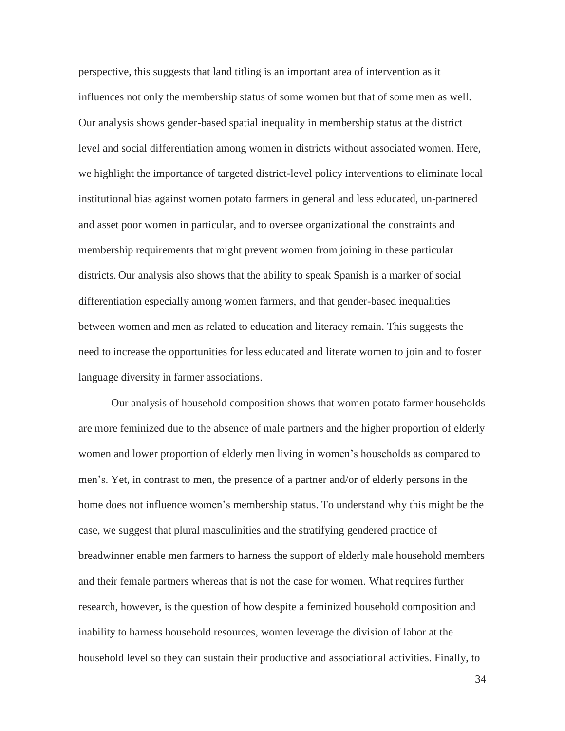perspective, this suggests that land titling is an important area of intervention as it influences not only the membership status of some women but that of some men as well. Our analysis shows gender-based spatial inequality in membership status at the district level and social differentiation among women in districts without associated women. Here, we highlight the importance of targeted district-level policy interventions to eliminate local institutional bias against women potato farmers in general and less educated, un-partnered and asset poor women in particular, and to oversee organizational the constraints and membership requirements that might prevent women from joining in these particular districts. Our analysis also shows that the ability to speak Spanish is a marker of social differentiation especially among women farmers, and that gender-based inequalities between women and men as related to education and literacy remain. This suggests the need to increase the opportunities for less educated and literate women to join and to foster language diversity in farmer associations.

Our analysis of household composition shows that women potato farmer households are more feminized due to the absence of male partners and the higher proportion of elderly women and lower proportion of elderly men living in women's households as compared to men's. Yet, in contrast to men, the presence of a partner and/or of elderly persons in the home does not influence women's membership status. To understand why this might be the case, we suggest that plural masculinities and the stratifying gendered practice of breadwinner enable men farmers to harness the support of elderly male household members and their female partners whereas that is not the case for women. What requires further research, however, is the question of how despite a feminized household composition and inability to harness household resources, women leverage the division of labor at the household level so they can sustain their productive and associational activities. Finally, to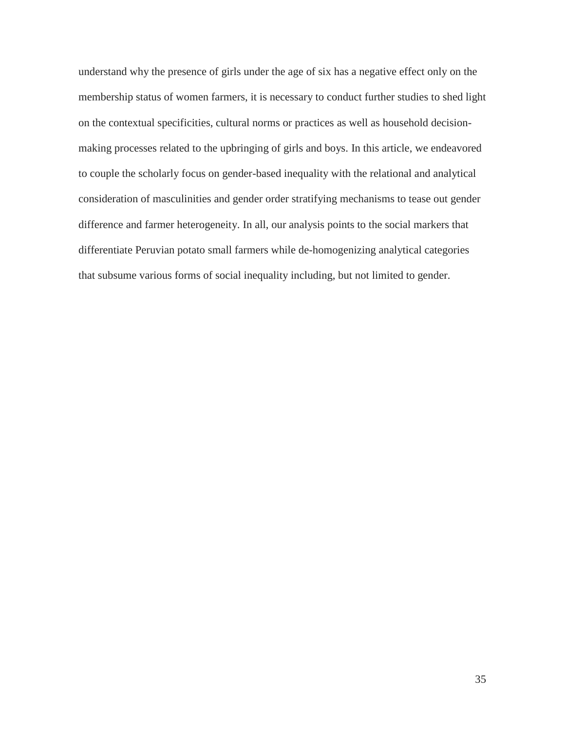understand why the presence of girls under the age of six has a negative effect only on the membership status of women farmers, it is necessary to conduct further studies to shed light on the contextual specificities, cultural norms or practices as well as household decisionmaking processes related to the upbringing of girls and boys. In this article, we endeavored to couple the scholarly focus on gender-based inequality with the relational and analytical consideration of masculinities and gender order stratifying mechanisms to tease out gender difference and farmer heterogeneity. In all, our analysis points to the social markers that differentiate Peruvian potato small farmers while de-homogenizing analytical categories that subsume various forms of social inequality including, but not limited to gender.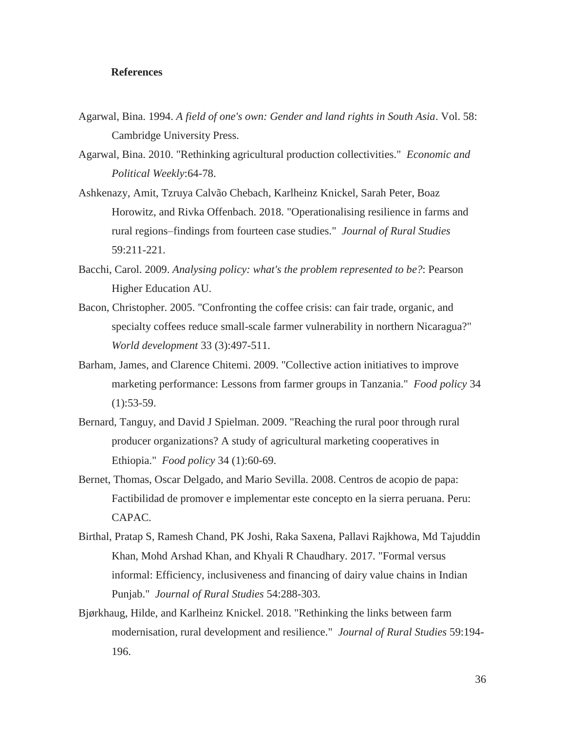# **References**

- Agarwal, Bina. 1994. *A field of one's own: Gender and land rights in South Asia*. Vol. 58: Cambridge University Press.
- Agarwal, Bina. 2010. "Rethinking agricultural production collectivities." *Economic and Political Weekly*:64-78.
- Ashkenazy, Amit, Tzruya Calvão Chebach, Karlheinz Knickel, Sarah Peter, Boaz Horowitz, and Rivka Offenbach. 2018. "Operationalising resilience in farms and rural regions–findings from fourteen case studies." *Journal of Rural Studies* 59:211-221.
- Bacchi, Carol. 2009. *Analysing policy: what's the problem represented to be?*: Pearson Higher Education AU.
- Bacon, Christopher. 2005. "Confronting the coffee crisis: can fair trade, organic, and specialty coffees reduce small-scale farmer vulnerability in northern Nicaragua?" *World development* 33 (3):497-511.
- Barham, James, and Clarence Chitemi. 2009. "Collective action initiatives to improve marketing performance: Lessons from farmer groups in Tanzania." *Food policy* 34  $(1):$ 53-59.
- Bernard, Tanguy, and David J Spielman. 2009. "Reaching the rural poor through rural producer organizations? A study of agricultural marketing cooperatives in Ethiopia." *Food policy* 34 (1):60-69.
- Bernet, Thomas, Oscar Delgado, and Mario Sevilla. 2008. Centros de acopio de papa: Factibilidad de promover e implementar este concepto en la sierra peruana. Peru: CAPAC.
- Birthal, Pratap S, Ramesh Chand, PK Joshi, Raka Saxena, Pallavi Rajkhowa, Md Tajuddin Khan, Mohd Arshad Khan, and Khyali R Chaudhary. 2017. "Formal versus informal: Efficiency, inclusiveness and financing of dairy value chains in Indian Punjab." *Journal of Rural Studies* 54:288-303.
- Bjørkhaug, Hilde, and Karlheinz Knickel. 2018. "Rethinking the links between farm modernisation, rural development and resilience." *Journal of Rural Studies* 59:194- 196.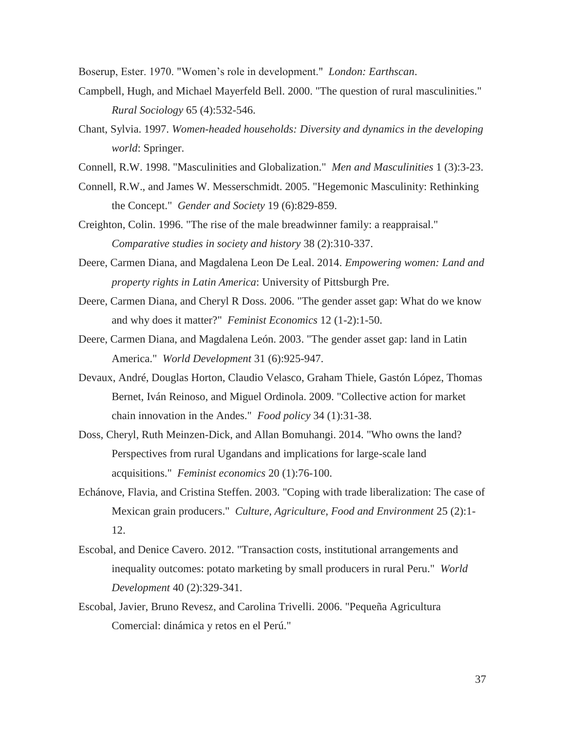Boserup, Ester. 1970. "Women's role in development." *London: Earthscan*.

- Campbell, Hugh, and Michael Mayerfeld Bell. 2000. "The question of rural masculinities." *Rural Sociology* 65 (4):532-546.
- Chant, Sylvia. 1997. *Women-headed households: Diversity and dynamics in the developing world*: Springer.
- Connell, R.W. 1998. "Masculinities and Globalization." *Men and Masculinities* 1 (3):3-23.
- Connell, R.W., and James W. Messerschmidt. 2005. "Hegemonic Masculinity: Rethinking the Concept." *Gender and Society* 19 (6):829-859.
- Creighton, Colin. 1996. "The rise of the male breadwinner family: a reappraisal." *Comparative studies in society and history* 38 (2):310-337.
- Deere, Carmen Diana, and Magdalena Leon De Leal. 2014. *Empowering women: Land and property rights in Latin America*: University of Pittsburgh Pre.
- Deere, Carmen Diana, and Cheryl R Doss. 2006. "The gender asset gap: What do we know and why does it matter?" *Feminist Economics* 12 (1-2):1-50.
- Deere, Carmen Diana, and Magdalena León. 2003. "The gender asset gap: land in Latin America." *World Development* 31 (6):925-947.
- Devaux, André, Douglas Horton, Claudio Velasco, Graham Thiele, Gastón López, Thomas Bernet, Iván Reinoso, and Miguel Ordinola. 2009. "Collective action for market chain innovation in the Andes." *Food policy* 34 (1):31-38.
- Doss, Cheryl, Ruth Meinzen-Dick, and Allan Bomuhangi. 2014. "Who owns the land? Perspectives from rural Ugandans and implications for large-scale land acquisitions." *Feminist economics* 20 (1):76-100.
- Echánove, Flavia, and Cristina Steffen. 2003. "Coping with trade liberalization: The case of Mexican grain producers." *Culture, Agriculture, Food and Environment* 25 (2):1- 12.
- Escobal, and Denice Cavero. 2012. "Transaction costs, institutional arrangements and inequality outcomes: potato marketing by small producers in rural Peru." *World Development* 40 (2):329-341.
- Escobal, Javier, Bruno Revesz, and Carolina Trivelli. 2006. "Pequeña Agricultura Comercial: dinámica y retos en el Perú."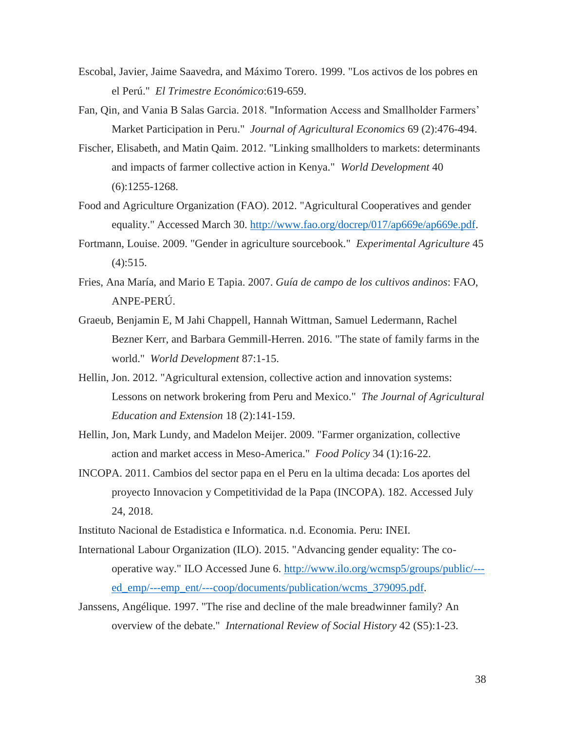- Escobal, Javier, Jaime Saavedra, and Máximo Torero. 1999. "Los activos de los pobres en el Perú." *El Trimestre Económico*:619-659.
- Fan, Qin, and Vania B Salas Garcia. 2018. "Information Access and Smallholder Farmers' Market Participation in Peru." *Journal of Agricultural Economics* 69 (2):476-494.
- Fischer, Elisabeth, and Matin Qaim. 2012. "Linking smallholders to markets: determinants and impacts of farmer collective action in Kenya." *World Development* 40 (6):1255-1268.
- Food and Agriculture Organization (FAO). 2012. "Agricultural Cooperatives and gender equality." Accessed March 30. [http://www.fao.org/docrep/017/ap669e/ap669e.pdf.](http://www.fao.org/docrep/017/ap669e/ap669e.pdf)
- Fortmann, Louise. 2009. "Gender in agriculture sourcebook." *Experimental Agriculture* 45  $(4):515.$
- Fries, Ana María, and Mario E Tapia. 2007. *Guía de campo de los cultivos andinos*: FAO, ANPE-PERÚ.
- Graeub, Benjamin E, M Jahi Chappell, Hannah Wittman, Samuel Ledermann, Rachel Bezner Kerr, and Barbara Gemmill-Herren. 2016. "The state of family farms in the world." *World Development* 87:1-15.
- Hellin, Jon. 2012. "Agricultural extension, collective action and innovation systems: Lessons on network brokering from Peru and Mexico." *The Journal of Agricultural Education and Extension* 18 (2):141-159.
- Hellin, Jon, Mark Lundy, and Madelon Meijer. 2009. "Farmer organization, collective action and market access in Meso-America." *Food Policy* 34 (1):16-22.
- INCOPA. 2011. Cambios del sector papa en el Peru en la ultima decada: Los aportes del proyecto Innovacion y Competitividad de la Papa (INCOPA). 182. Accessed July 24, 2018.

Instituto Nacional de Estadistica e Informatica. n.d. Economia. Peru: INEI.

- International Labour Organization (ILO). 2015. "Advancing gender equality: The cooperative way." ILO Accessed June 6. [http://www.ilo.org/wcmsp5/groups/public/--](http://www.ilo.org/wcmsp5/groups/public/---ed_emp/---emp_ent/---coop/documents/publication/wcms_379095.pdf) [ed\\_emp/---emp\\_ent/---coop/documents/publication/wcms\\_379095.pdf.](http://www.ilo.org/wcmsp5/groups/public/---ed_emp/---emp_ent/---coop/documents/publication/wcms_379095.pdf)
- Janssens, Angélique. 1997. "The rise and decline of the male breadwinner family? An overview of the debate." *International Review of Social History* 42 (S5):1-23.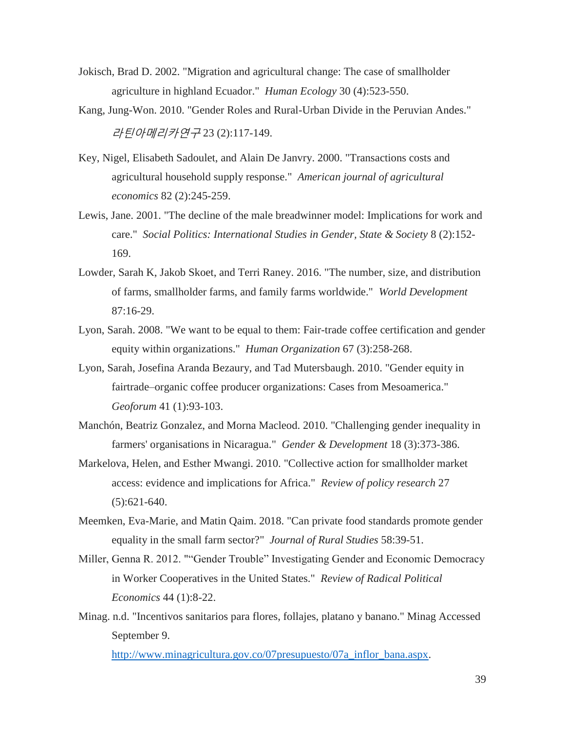- Jokisch, Brad D. 2002. "Migration and agricultural change: The case of smallholder agriculture in highland Ecuador." *Human Ecology* 30 (4):523-550.
- Kang, Jung-Won. 2010. "Gender Roles and Rural-Urban Divide in the Peruvian Andes." 라틴아메리카연구 23 (2):117-149.
- Key, Nigel, Elisabeth Sadoulet, and Alain De Janvry. 2000. "Transactions costs and agricultural household supply response." *American journal of agricultural economics* 82 (2):245-259.
- Lewis, Jane. 2001. "The decline of the male breadwinner model: Implications for work and care." *Social Politics: International Studies in Gender, State & Society* 8 (2):152- 169.
- Lowder, Sarah K, Jakob Skoet, and Terri Raney. 2016. "The number, size, and distribution of farms, smallholder farms, and family farms worldwide." *World Development* 87:16-29.
- Lyon, Sarah. 2008. "We want to be equal to them: Fair-trade coffee certification and gender equity within organizations." *Human Organization* 67 (3):258-268.
- Lyon, Sarah, Josefina Aranda Bezaury, and Tad Mutersbaugh. 2010. "Gender equity in fairtrade–organic coffee producer organizations: Cases from Mesoamerica." *Geoforum* 41 (1):93-103.
- Manchón, Beatriz Gonzalez, and Morna Macleod. 2010. "Challenging gender inequality in farmers' organisations in Nicaragua." *Gender & Development* 18 (3):373-386.
- Markelova, Helen, and Esther Mwangi. 2010. "Collective action for smallholder market access: evidence and implications for Africa." *Review of policy research* 27 (5):621-640.
- Meemken, Eva-Marie, and Matin Qaim. 2018. "Can private food standards promote gender equality in the small farm sector?" *Journal of Rural Studies* 58:39-51.
- Miller, Genna R. 2012. ""Gender Trouble" Investigating Gender and Economic Democracy in Worker Cooperatives in the United States." *Review of Radical Political Economics* 44 (1):8-22.
- Minag. n.d. "Incentivos sanitarios para flores, follajes, platano y banano." Minag Accessed September 9.

[http://www.minagricultura.gov.co/07presupuesto/07a\\_inflor\\_bana.aspx.](http://www.minagricultura.gov.co/07presupuesto/07a_inflor_bana.aspx)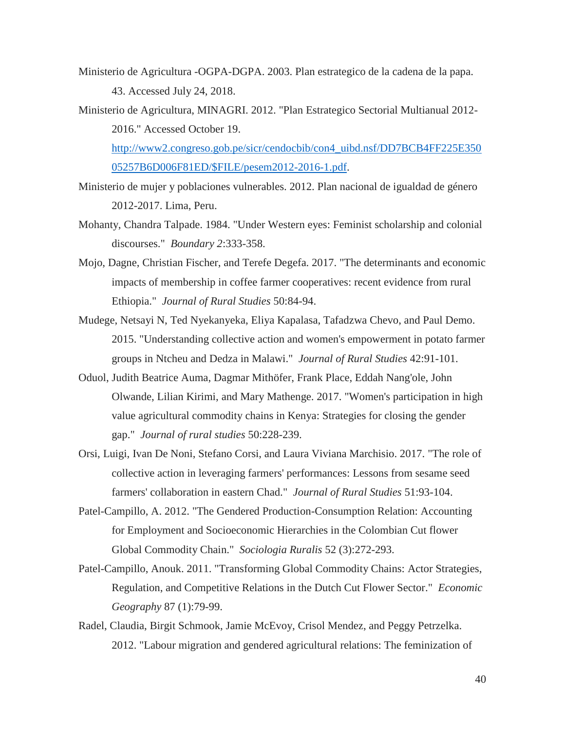- Ministerio de Agricultura -OGPA-DGPA. 2003. Plan estrategico de la cadena de la papa. 43. Accessed July 24, 2018.
- Ministerio de Agricultura, MINAGRI. 2012. "Plan Estrategico Sectorial Multianual 2012- 2016." Accessed October 19. [http://www2.congreso.gob.pe/sicr/cendocbib/con4\\_uibd.nsf/DD7BCB4FF225E350](http://www2.congreso.gob.pe/sicr/cendocbib/con4_uibd.nsf/DD7BCB4FF225E35005257B6D006F81ED/$FILE/pesem2012-2016-1.pdf) [05257B6D006F81ED/\\$FILE/pesem2012-2016-1.pdf.](http://www2.congreso.gob.pe/sicr/cendocbib/con4_uibd.nsf/DD7BCB4FF225E35005257B6D006F81ED/$FILE/pesem2012-2016-1.pdf)
- Ministerio de mujer y poblaciones vulnerables. 2012. Plan nacional de igualdad de género 2012-2017. Lima, Peru.
- Mohanty, Chandra Talpade. 1984. "Under Western eyes: Feminist scholarship and colonial discourses." *Boundary 2*:333-358.
- Mojo, Dagne, Christian Fischer, and Terefe Degefa. 2017. "The determinants and economic impacts of membership in coffee farmer cooperatives: recent evidence from rural Ethiopia." *Journal of Rural Studies* 50:84-94.
- Mudege, Netsayi N, Ted Nyekanyeka, Eliya Kapalasa, Tafadzwa Chevo, and Paul Demo. 2015. "Understanding collective action and women's empowerment in potato farmer groups in Ntcheu and Dedza in Malawi." *Journal of Rural Studies* 42:91-101.
- Oduol, Judith Beatrice Auma, Dagmar Mithöfer, Frank Place, Eddah Nang'ole, John Olwande, Lilian Kirimi, and Mary Mathenge. 2017. "Women's participation in high value agricultural commodity chains in Kenya: Strategies for closing the gender gap." *Journal of rural studies* 50:228-239.
- Orsi, Luigi, Ivan De Noni, Stefano Corsi, and Laura Viviana Marchisio. 2017. "The role of collective action in leveraging farmers' performances: Lessons from sesame seed farmers' collaboration in eastern Chad." *Journal of Rural Studies* 51:93-104.
- Patel-Campillo, A. 2012. "The Gendered Production-Consumption Relation: Accounting for Employment and Socioeconomic Hierarchies in the Colombian Cut flower Global Commodity Chain." *Sociologia Ruralis* 52 (3):272-293.
- Patel-Campillo, Anouk. 2011. "Transforming Global Commodity Chains: Actor Strategies, Regulation, and Competitive Relations in the Dutch Cut Flower Sector." *Economic Geography* 87 (1):79-99.
- Radel, Claudia, Birgit Schmook, Jamie McEvoy, Crisol Mendez, and Peggy Petrzelka. 2012. "Labour migration and gendered agricultural relations: The feminization of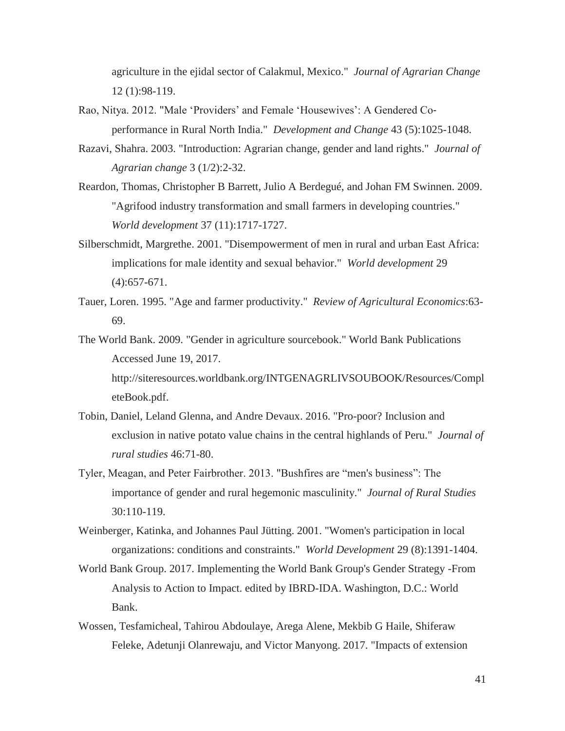agriculture in the ejidal sector of Calakmul, Mexico." *Journal of Agrarian Change* 12 (1):98-119.

- Rao, Nitya. 2012. "Male 'Providers' and Female 'Housewives': A Gendered Co‐ performance in Rural North India." *Development and Change* 43 (5):1025-1048.
- Razavi, Shahra. 2003. "Introduction: Agrarian change, gender and land rights." *Journal of Agrarian change* 3 (1/2):2-32.
- Reardon, Thomas, Christopher B Barrett, Julio A Berdegué, and Johan FM Swinnen. 2009. "Agrifood industry transformation and small farmers in developing countries." *World development* 37 (11):1717-1727.
- Silberschmidt, Margrethe. 2001. "Disempowerment of men in rural and urban East Africa: implications for male identity and sexual behavior." *World development* 29 (4):657-671.
- Tauer, Loren. 1995. "Age and farmer productivity." *Review of Agricultural Economics*:63- 69.
- The World Bank. 2009. "Gender in agriculture sourcebook." World Bank Publications Accessed June 19, 2017. http://siteresources.worldbank.org/INTGENAGRLIVSOUBOOK/Resources/Compl eteBook.pdf.
- Tobin, Daniel, Leland Glenna, and Andre Devaux. 2016. "Pro-poor? Inclusion and exclusion in native potato value chains in the central highlands of Peru." *Journal of rural studies* 46:71-80.
- Tyler, Meagan, and Peter Fairbrother. 2013. "Bushfires are "men's business": The importance of gender and rural hegemonic masculinity." *Journal of Rural Studies* 30:110-119.
- Weinberger, Katinka, and Johannes Paul Jütting. 2001. "Women's participation in local organizations: conditions and constraints." *World Development* 29 (8):1391-1404.
- World Bank Group. 2017. Implementing the World Bank Group's Gender Strategy -From Analysis to Action to Impact. edited by IBRD-IDA. Washington, D.C.: World Bank.
- Wossen, Tesfamicheal, Tahirou Abdoulaye, Arega Alene, Mekbib G Haile, Shiferaw Feleke, Adetunji Olanrewaju, and Victor Manyong. 2017. "Impacts of extension